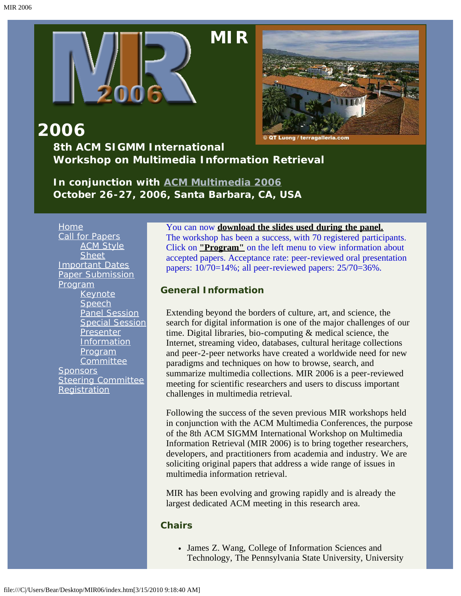

# **[M](#page-2-0)IR**

<span id="page-0-0"></span>

**2006 8th ACM SIGMM International Workshop on Multimedia Information Retrieval**

*In conjunction with [ACM Multimedia 2006](javascript:if(confirm() October 26-27, 2006, Santa Barbara, CA, USA*

[Home](#page-2-0) [Call for Papers](#page-10-0) [ACM Style](javascript:if(confirm() **[Sheet](javascript:if(confirm()** [Important Dates](#page-13-0) [Paper Submission](#page-14-0) [Program](#page-4-0) [Keynote](#page-15-0) **[Speech](#page-15-0)** [Panel Session](#page-18-0) [Special Session](#page-19-0) **[Presenter](#page-23-0)** [Information](#page-23-0) **[Program](#page-24-0) [Committee](#page-24-0) [Sponsors](#page-27-0)** [Steering Committee](#page-28-0) **[Registration](#page-29-0)** 

#### You can now **[download the slides used during the panel.](javascript:if(confirm()**

The workshop has been a success, with 70 registered participants. Click on **["Program"](#page-4-0)** on the left menu to view information about accepted papers. Acceptance rate: peer-reviewed oral presentation papers: 10/70=14%; all peer-reviewed papers: 25/70=36%.

#### **General Information**

Extending beyond the borders of culture, art, and science, the search for digital information is one of the major challenges of our time. Digital libraries, bio-computing & medical science, the Internet, streaming video, databases, cultural heritage collections and peer-2-peer networks have created a worldwide need for new paradigms and techniques on how to browse, search, and summarize multimedia collections. MIR 2006 is a peer-reviewed meeting for scientific researchers and users to discuss important challenges in multimedia retrieval.

Following the success of the seven previous MIR workshops held in conjunction with the ACM Multimedia Conferences, the purpose of the 8th ACM SIGMM International Workshop on Multimedia Information Retrieval (MIR 2006) is to bring together researchers, developers, and practitioners from academia and industry. We are soliciting original papers that address a wide range of issues in multimedia information retrieval.

MIR has been evolving and growing rapidly and is already the largest dedicated ACM meeting in this research area.

#### **Chairs**

James Z. Wang, College of Information Sciences and Technology, The Pennsylvania State University, University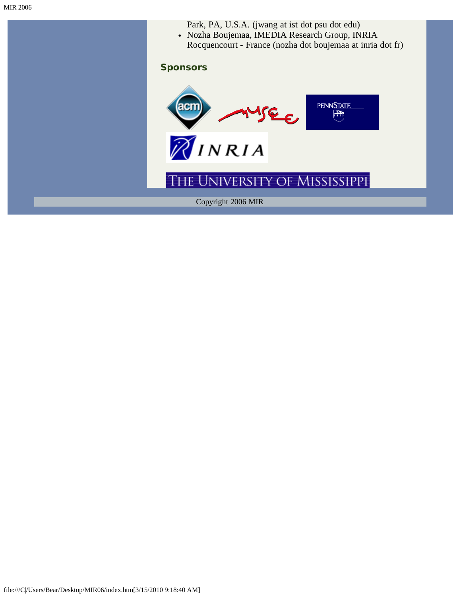- Park, PA, U.S.A. (jwang at ist dot psu dot edu)
- Nozha Boujemaa, IMEDIA Research Group, INRIA Rocquencourt - France (nozha dot boujemaa at inria dot fr)

#### **Sponsors**

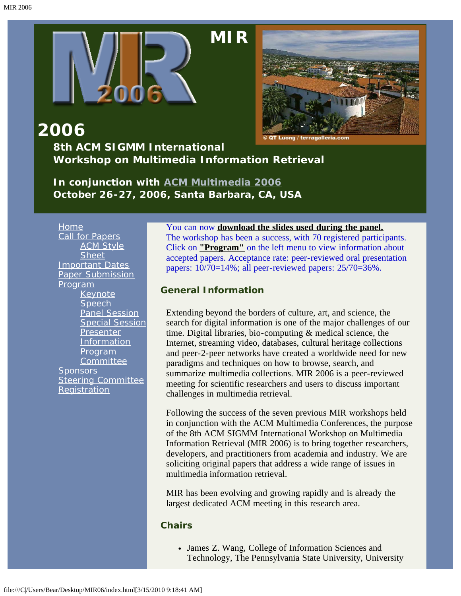<span id="page-2-0"></span>

# **[M](#page-2-0)IR**



### **2006 8th ACM SIGMM International Workshop on Multimedia Information Retrieval**

*In conjunction with [ACM Multimedia 2006](javascript:if(confirm() October 26-27, 2006, Santa Barbara, CA, USA*

[Home](#page-2-0) [Call for Papers](#page-10-0) [ACM Style](javascript:if(confirm() **[Sheet](javascript:if(confirm()** [Important Dates](#page-13-0) [Paper Submission](#page-14-0) [Program](#page-4-0) [Keynote](#page-15-0) **[Speech](#page-15-0)** [Panel Session](#page-18-0) [Special Session](#page-19-0) **[Presenter](#page-23-0)** [Information](#page-23-0) **[Program](#page-24-0) [Committee](#page-24-0) [Sponsors](#page-27-0)** [Steering Committee](#page-28-0) **[Registration](#page-29-0)** 

#### You can now **[download the slides used during the panel.](javascript:if(confirm()**

The workshop has been a success, with 70 registered participants. Click on **["Program"](#page-4-0)** on the left menu to view information about accepted papers. Acceptance rate: peer-reviewed oral presentation papers: 10/70=14%; all peer-reviewed papers: 25/70=36%.

#### **General Information**

Extending beyond the borders of culture, art, and science, the search for digital information is one of the major challenges of our time. Digital libraries, bio-computing & medical science, the Internet, streaming video, databases, cultural heritage collections and peer-2-peer networks have created a worldwide need for new paradigms and techniques on how to browse, search, and summarize multimedia collections. MIR 2006 is a peer-reviewed meeting for scientific researchers and users to discuss important challenges in multimedia retrieval.

Following the success of the seven previous MIR workshops held in conjunction with the ACM Multimedia Conferences, the purpose of the 8th ACM SIGMM International Workshop on Multimedia Information Retrieval (MIR 2006) is to bring together researchers, developers, and practitioners from academia and industry. We are soliciting original papers that address a wide range of issues in multimedia information retrieval.

MIR has been evolving and growing rapidly and is already the largest dedicated ACM meeting in this research area.

#### **Chairs**

James Z. Wang, College of Information Sciences and Technology, The Pennsylvania State University, University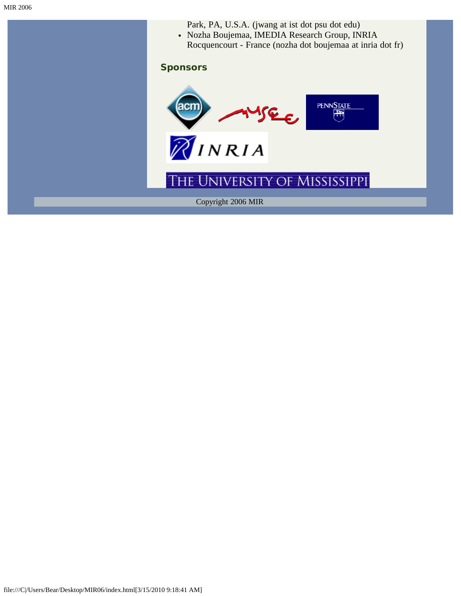- Park, PA, U.S.A. (jwang at ist dot psu dot edu)
- Nozha Boujemaa, IMEDIA Research Group, INRIA Rocquencourt - France (nozha dot boujemaa at inria dot fr)

#### **Sponsors**

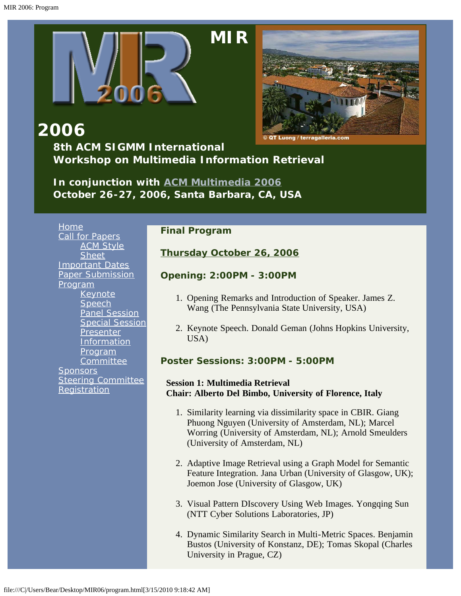<span id="page-4-0"></span>

# **[M](#page-2-0)IR**



**2006**

**8th ACM SIGMM International Workshop on Multimedia Information Retrieval**

*In conjunction with [ACM Multimedia 2006](javascript:if(confirm() October 26-27, 2006, Santa Barbara, CA, USA*

## [Home](#page-2-0)

[Call for Papers](#page-10-0) **[ACM Style](javascript:if(confirm() [Sheet](javascript:if(confirm()** [Important Dates](#page-13-0) [Paper Submission](#page-14-0) [Program](#page-4-0) [Keynote](#page-15-0) **[Speech](#page-15-0)** [Panel Session](#page-18-0) [Special Session](#page-19-0) [Presenter](#page-23-0) **[Information](#page-23-0)** [Program](#page-24-0) **[Committee](#page-24-0) [Sponsors](#page-27-0)** [Steering Committee](#page-28-0) **[Registration](#page-29-0)** 

#### **Final Program**

### **Thursday October 26, 2006**

#### **Opening: 2:00PM - 3:00PM**

- 1. Opening Remarks and Introduction of Speaker. James Z. Wang (The Pennsylvania State University, USA)
- 2. Keynote Speech. Donald Geman (Johns Hopkins University, USA)

### **Poster Sessions: 3:00PM - 5:00PM**

#### **Session 1: Multimedia Retrieval Chair: Alberto Del Bimbo, University of Florence, Italy**

- 1. Similarity learning via dissimilarity space in CBIR. Giang Phuong Nguyen (University of Amsterdam, NL); Marcel Worring (University of Amsterdam, NL); Arnold Smeulders (University of Amsterdam, NL)
- 2. Adaptive Image Retrieval using a Graph Model for Semantic Feature Integration. Jana Urban (University of Glasgow, UK); Joemon Jose (University of Glasgow, UK)
- 3. Visual Pattern DIscovery Using Web Images. Yongqing Sun (NTT Cyber Solutions Laboratories, JP)
- 4. Dynamic Similarity Search in Multi-Metric Spaces. Benjamin Bustos (University of Konstanz, DE); Tomas Skopal (Charles University in Prague, CZ)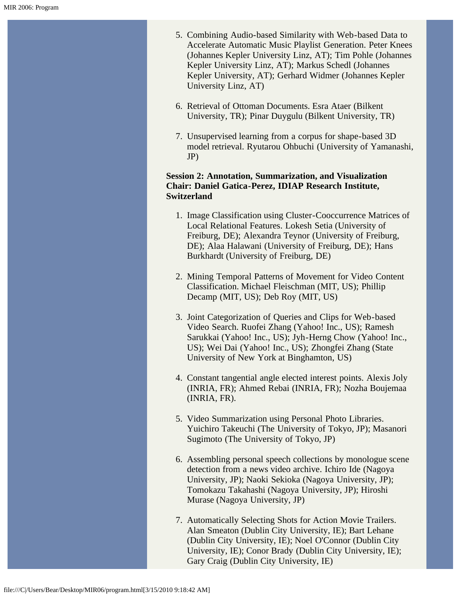- 5. Combining Audio-based Similarity with Web-based Data to Accelerate Automatic Music Playlist Generation. Peter Knees (Johannes Kepler University Linz, AT); Tim Pohle (Johannes Kepler University Linz, AT); Markus Schedl (Johannes Kepler University, AT); Gerhard Widmer (Johannes Kepler University Linz, AT)
- 6. Retrieval of Ottoman Documents. Esra Ataer (Bilkent University, TR); Pinar Duygulu (Bilkent University, TR)
- 7. Unsupervised learning from a corpus for shape-based 3D model retrieval. Ryutarou Ohbuchi (University of Yamanashi, JP)

#### **Session 2: Annotation, Summarization, and Visualization Chair: Daniel Gatica-Perez, IDIAP Research Institute, Switzerland**

- 1. Image Classification using Cluster-Cooccurrence Matrices of Local Relational Features. Lokesh Setia (University of Freiburg, DE); Alexandra Teynor (University of Freiburg, DE); Alaa Halawani (University of Freiburg, DE); Hans Burkhardt (University of Freiburg, DE)
- 2. Mining Temporal Patterns of Movement for Video Content Classification. Michael Fleischman (MIT, US); Phillip Decamp (MIT, US); Deb Roy (MIT, US)
- 3. Joint Categorization of Queries and Clips for Web-based Video Search. Ruofei Zhang (Yahoo! Inc., US); Ramesh Sarukkai (Yahoo! Inc., US); Jyh-Herng Chow (Yahoo! Inc., US); Wei Dai (Yahoo! Inc., US); Zhongfei Zhang (State University of New York at Binghamton, US)
- 4. Constant tangential angle elected interest points. Alexis Joly (INRIA, FR); Ahmed Rebai (INRIA, FR); Nozha Boujemaa (INRIA, FR).
- 5. Video Summarization using Personal Photo Libraries. Yuichiro Takeuchi (The University of Tokyo, JP); Masanori Sugimoto (The University of Tokyo, JP)
- 6. Assembling personal speech collections by monologue scene detection from a news video archive. Ichiro Ide (Nagoya University, JP); Naoki Sekioka (Nagoya University, JP); Tomokazu Takahashi (Nagoya University, JP); Hiroshi Murase (Nagoya University, JP)
- 7. Automatically Selecting Shots for Action Movie Trailers. Alan Smeaton (Dublin City University, IE); Bart Lehane (Dublin City University, IE); Noel O'Connor (Dublin City University, IE); Conor Brady (Dublin City University, IE); Gary Craig (Dublin City University, IE)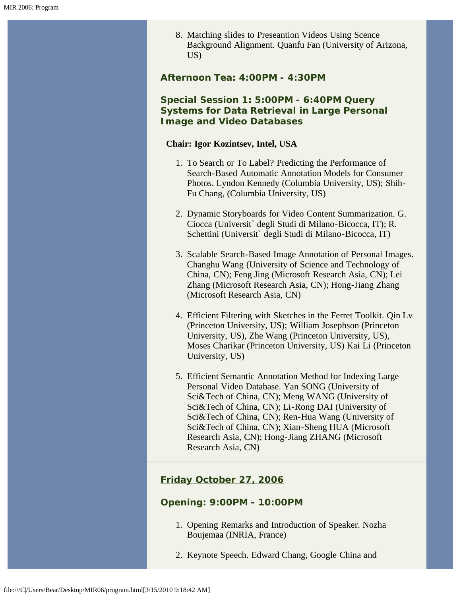8. Matching slides to Preseantion Videos Using Scence Background Alignment. Quanfu Fan (University of Arizona, US)

**Afternoon Tea: 4:00PM - 4:30PM**

#### **Special Session 1: 5:00PM - 6:40PM Query Systems for Data Retrieval in Large Personal Image and Video Databases**

#### **Chair: Igor Kozintsev, Intel, USA**

- 1. To Search or To Label? Predicting the Performance of Search-Based Automatic Annotation Models for Consumer Photos. Lyndon Kennedy (Columbia University, US); Shih-Fu Chang, (Columbia University, US)
- 2. Dynamic Storyboards for Video Content Summarization. G. Ciocca (Universit` degli Studi di Milano-Bicocca, IT); R. Schettini (Universit` degli Studi di Milano-Bicocca, IT)
- 3. Scalable Search-Based Image Annotation of Personal Images. Changhu Wang (University of Science and Technology of China, CN); Feng Jing (Microsoft Research Asia, CN); Lei Zhang (Microsoft Research Asia, CN); Hong-Jiang Zhang (Microsoft Research Asia, CN)
- 4. Efficient Filtering with Sketches in the Ferret Toolkit. Qin Lv (Princeton University, US); William Josephson (Princeton University, US), Zhe Wang (Princeton University, US), Moses Charikar (Princeton University, US) Kai Li (Princeton University, US)
- 5. Efficient Semantic Annotation Method for Indexing Large Personal Video Database. Yan SONG (University of Sci&Tech of China, CN); Meng WANG (University of Sci&Tech of China, CN); Li-Rong DAI (University of Sci&Tech of China, CN); Ren-Hua Wang (University of Sci&Tech of China, CN); Xian-Sheng HUA (Microsoft Research Asia, CN); Hong-Jiang ZHANG (Microsoft Research Asia, CN)

### **Friday October 27, 2006**

#### **Opening: 9:00PM - 10:00PM**

- 1. Opening Remarks and Introduction of Speaker. Nozha Boujemaa (INRIA, France)
- 2. Keynote Speech. Edward Chang, Google China and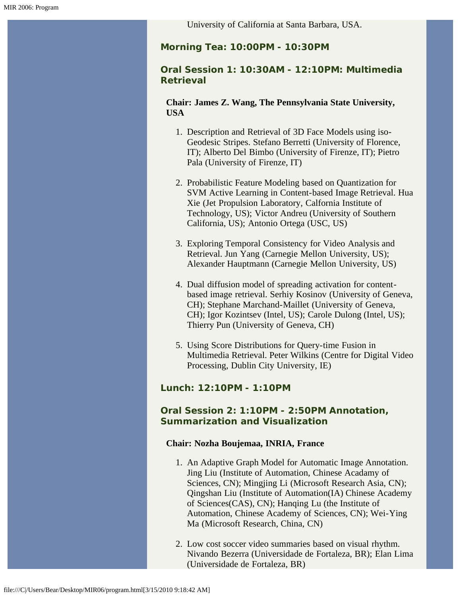University of California at Santa Barbara, USA.

**Morning Tea: 10:00PM - 10:30PM**

#### **Oral Session 1: 10:30AM - 12:10PM: Multimedia Retrieval**

**Chair: James Z. Wang, The Pennsylvania State University, USA**

- 1. Description and Retrieval of 3D Face Models using iso-Geodesic Stripes. Stefano Berretti (University of Florence, IT); Alberto Del Bimbo (University of Firenze, IT); Pietro Pala (University of Firenze, IT)
- 2. Probabilistic Feature Modeling based on Quantization for SVM Active Learning in Content-based Image Retrieval. Hua Xie (Jet Propulsion Laboratory, Calfornia Institute of Technology, US); Victor Andreu (University of Southern California, US); Antonio Ortega (USC, US)
- 3. Exploring Temporal Consistency for Video Analysis and Retrieval. Jun Yang (Carnegie Mellon University, US); Alexander Hauptmann (Carnegie Mellon University, US)
- 4. Dual diffusion model of spreading activation for contentbased image retrieval. Serhiy Kosinov (University of Geneva, CH); Stephane Marchand-Maillet (University of Geneva, CH); Igor Kozintsev (Intel, US); Carole Dulong (Intel, US); Thierry Pun (University of Geneva, CH)
- 5. Using Score Distributions for Query-time Fusion in Multimedia Retrieval. Peter Wilkins (Centre for Digital Video Processing, Dublin City University, IE)

#### **Lunch: 12:10PM - 1:10PM**

#### **Oral Session 2: 1:10PM - 2:50PM Annotation, Summarization and Visualization**

#### **Chair: Nozha Boujemaa, INRIA, France**

- 1. An Adaptive Graph Model for Automatic Image Annotation. Jing Liu (Institute of Automation, Chinese Acadamy of Sciences, CN); Mingjing Li (Microsoft Research Asia, CN); Qingshan Liu (Institute of Automation(IA) Chinese Academy of Sciences(CAS), CN); Hanqing Lu (the Institute of Automation, Chinese Academy of Sciences, CN); Wei-Ying Ma (Microsoft Research, China, CN)
- 2. Low cost soccer video summaries based on visual rhythm. Nivando Bezerra (Universidade de Fortaleza, BR); Elan Lima (Universidade de Fortaleza, BR)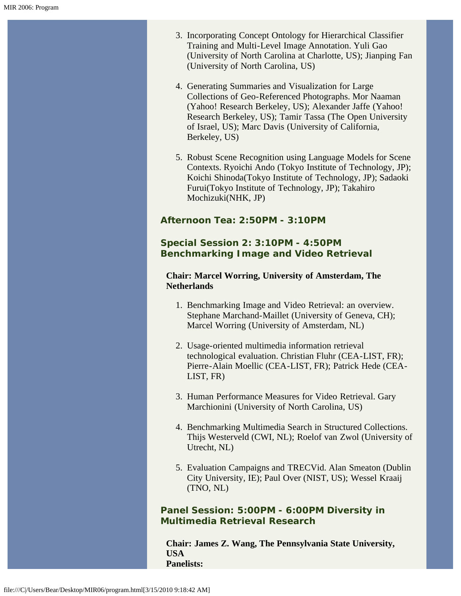- 3. Incorporating Concept Ontology for Hierarchical Classifier Training and Multi-Level Image Annotation. Yuli Gao (University of North Carolina at Charlotte, US); Jianping Fan (University of North Carolina, US)
- 4. Generating Summaries and Visualization for Large Collections of Geo-Referenced Photographs. Mor Naaman (Yahoo! Research Berkeley, US); Alexander Jaffe (Yahoo! Research Berkeley, US); Tamir Tassa (The Open University of Israel, US); Marc Davis (University of California, Berkeley, US)
- 5. Robust Scene Recognition using Language Models for Scene Contexts. Ryoichi Ando (Tokyo Institute of Technology, JP); Koichi Shinoda(Tokyo Institute of Technology, JP); Sadaoki Furui(Tokyo Institute of Technology, JP); Takahiro Mochizuki(NHK, JP)

#### **Afternoon Tea: 2:50PM - 3:10PM**

#### **Special Session 2: 3:10PM - 4:50PM Benchmarking Image and Video Retrieval**

#### **Chair: Marcel Worring, University of Amsterdam, The Netherlands**

- 1. Benchmarking Image and Video Retrieval: an overview. Stephane Marchand-Maillet (University of Geneva, CH); Marcel Worring (University of Amsterdam, NL)
- 2. Usage-oriented multimedia information retrieval technological evaluation. Christian Fluhr (CEA-LIST, FR); Pierre-Alain Moellic (CEA-LIST, FR); Patrick Hede (CEA-LIST, FR)
- 3. Human Performance Measures for Video Retrieval. Gary Marchionini (University of North Carolina, US)
- 4. Benchmarking Multimedia Search in Structured Collections. Thijs Westerveld (CWI, NL); Roelof van Zwol (University of Utrecht, NL)
- 5. Evaluation Campaigns and TRECVid. Alan Smeaton (Dublin City University, IE); Paul Over (NIST, US); Wessel Kraaij (TNO, NL)

**Panel Session: 5:00PM - 6:00PM Diversity in Multimedia Retrieval Research**

**Chair: James Z. Wang, The Pennsylvania State University, USA Panelists:**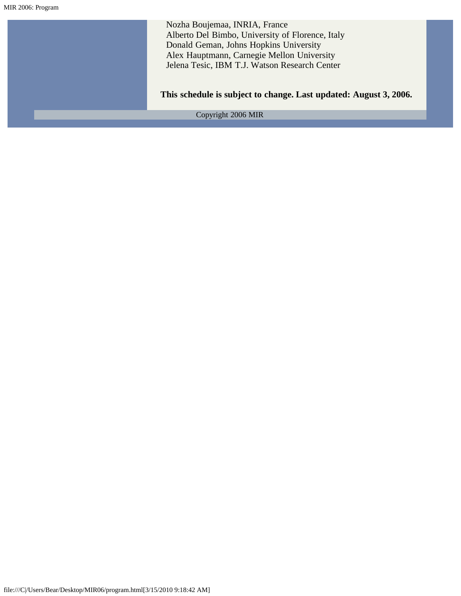Nozha Boujemaa, INRIA, France Alberto Del Bimbo, University of Florence, Italy Donald Geman, Johns Hopkins University Alex Hauptmann, Carnegie Mellon University Jelena Tesic, IBM T.J. Watson Research Center **This schedule is subject to change. Last updated: August 3, 2006.** Copyright 2006 MIR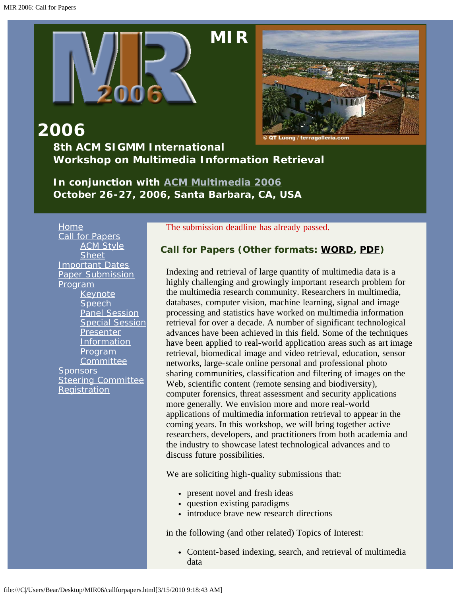

# **[M](#page-2-0)IR**

<span id="page-10-0"></span>

**2006 8th ACM SIGMM International Workshop on Multimedia Information Retrieval**

*In conjunction with [ACM Multimedia 2006](javascript:if(confirm() October 26-27, 2006, Santa Barbara, CA, USA*

[Home](#page-2-0) [Call for Papers](#page-10-0) **[ACM Style](javascript:if(confirm() [Sheet](javascript:if(confirm()** [Important Dates](#page-13-0) [Paper Submission](#page-14-0) [Program](#page-4-0) [Keynote](#page-15-0) **[Speech](#page-15-0)** [Panel Session](#page-18-0) [Special Session](#page-19-0) **[Presenter](#page-23-0) [Information](#page-23-0) [Program](#page-24-0) [Committee](#page-24-0) [Sponsors](#page-27-0)** [Steering Committee](#page-28-0) **[Registration](#page-29-0)** 

The submission deadline has already passed.

#### **Call for Papers (Other formats: [WORD,](#page-30-0) [PDF](#page-35-0))**

Indexing and retrieval of large quantity of multimedia data is a highly challenging and growingly important research problem for the multimedia research community. Researchers in multimedia, databases, computer vision, machine learning, signal and image processing and statistics have worked on multimedia information retrieval for over a decade. A number of significant technological advances have been achieved in this field. Some of the techniques have been applied to real-world application areas such as art image retrieval, biomedical image and video retrieval, education, sensor networks, large-scale online personal and professional photo sharing communities, classification and filtering of images on the Web, scientific content (remote sensing and biodiversity), computer forensics, threat assessment and security applications more generally. We envision more and more real-world applications of multimedia information retrieval to appear in the coming years. In this workshop, we will bring together active researchers, developers, and practitioners from both academia and the industry to showcase latest technological advances and to discuss future possibilities.

We are soliciting high-quality submissions that:

- present novel and fresh ideas
- question existing paradigms
- introduce brave new research directions

in the following (and other related) Topics of Interest:

• Content-based indexing, search, and retrieval of multimedia data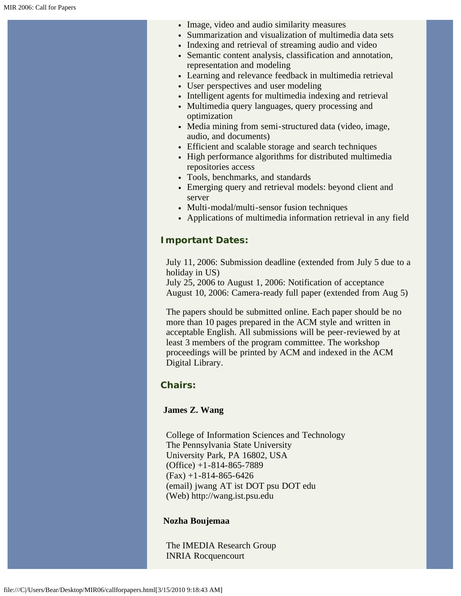- Image, video and audio similarity measures
- Summarization and visualization of multimedia data sets
- Indexing and retrieval of streaming audio and video
- Semantic content analysis, classification and annotation, representation and modeling
- Learning and relevance feedback in multimedia retrieval
- User perspectives and user modeling
- Intelligent agents for multimedia indexing and retrieval
- Multimedia query languages, query processing and optimization
- Media mining from semi-structured data (video, image, audio, and documents)
- Efficient and scalable storage and search techniques
- High performance algorithms for distributed multimedia repositories access
- Tools, benchmarks, and standards
- Emerging query and retrieval models: beyond client and server
- Multi-modal/multi-sensor fusion techniques
- Applications of multimedia information retrieval in any field

#### **Important Dates:**

July 11, 2006: Submission deadline (extended from July 5 due to a holiday in US)

July 25, 2006 to August 1, 2006: Notification of acceptance August 10, 2006: Camera-ready full paper (extended from Aug 5)

The papers should be submitted online. Each paper should be no more than 10 pages prepared in the ACM style and written in acceptable English. All submissions will be peer-reviewed by at least 3 members of the program committee. The workshop proceedings will be printed by ACM and indexed in the ACM Digital Library.

#### **Chairs:**

#### **James Z. Wang**

College of Information Sciences and Technology The Pennsylvania State University University Park, PA 16802, USA (Office) +1-814-865-7889  $(Fax) + 1 - 814 - 865 - 6426$ (email) jwang AT ist DOT psu DOT edu (Web) http://wang.ist.psu.edu

#### **Nozha Boujemaa**

The IMEDIA Research Group INRIA Rocquencourt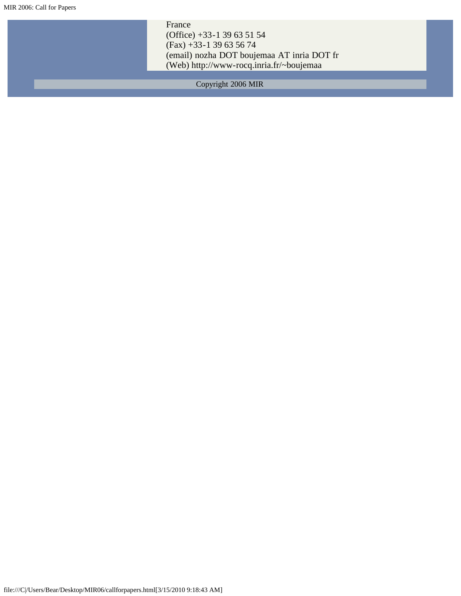France (Office) +33-1 39 63 51 54 (Fax) +33-1 39 63 56 74 (email) nozha DOT boujemaa AT inria DOT fr (Web) http://www-rocq.inria.fr/~boujemaa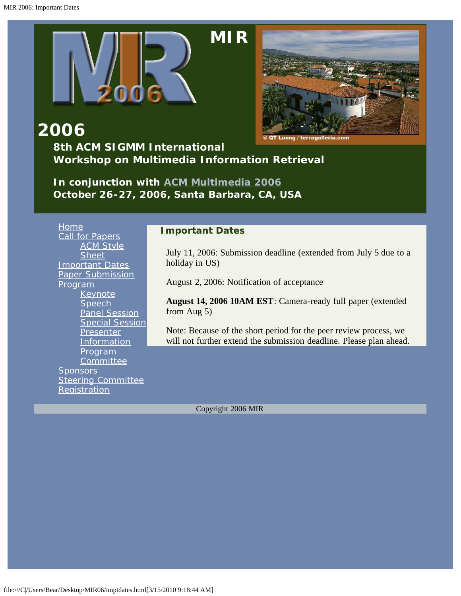<span id="page-13-0"></span>



**2006 8th ACM SIGMM International Workshop on Multimedia Information Retrieval**

*In conjunction with [ACM Multimedia 2006](javascript:if(confirm() October 26-27, 2006, Santa Barbara, CA, USA*

**[Home](#page-2-0)** [Call for Papers](#page-10-0) [ACM Style](javascript:if(confirm() **[Sheet](javascript:if(confirm()** [Important Dates](#page-13-0) [Paper Submission](#page-14-0) [Program](#page-4-0) **[Keynote](#page-15-0) [Speech](#page-15-0)** [Panel Session](#page-18-0) [Special Session](#page-19-0) **[Presenter](#page-23-0) [Information](#page-23-0)** [Program](#page-24-0) **[Committee](#page-24-0) [Sponsors](#page-27-0) [Steering Committee](#page-28-0) [Registration](#page-29-0)** 

#### **Important Dates**

July 11, 2006: Submission deadline (extended from July 5 due to a holiday in US)

August 2, 2006: Notification of acceptance

**August 14, 2006 10AM EST**: Camera-ready full paper (extended from Aug 5)

Note: Because of the short period for the peer review process, we will not further extend the submission deadline. Please plan ahead.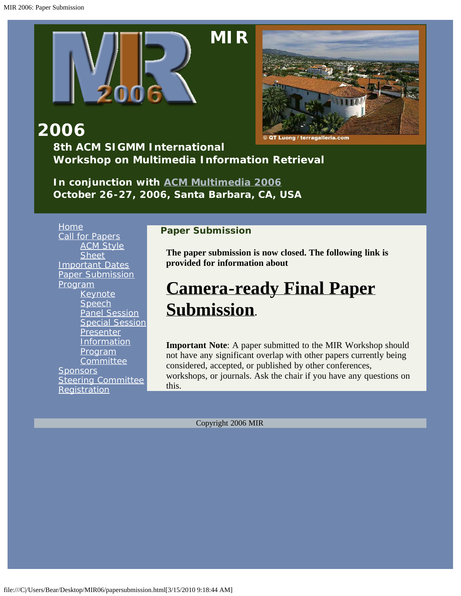<span id="page-14-0"></span>



**2006 8th ACM SIGMM International**

**Workshop on Multimedia Information Retrieval**

*In conjunction with [ACM Multimedia 2006](javascript:if(confirm() October 26-27, 2006, Santa Barbara, CA, USA*

[Home](#page-2-0) [Call for Papers](#page-10-0) **[ACM Style](javascript:if(confirm() [Sheet](javascript:if(confirm()** [Important Dates](#page-13-0) [Paper Submission](#page-14-0) [Program](#page-4-0) [Keynote](#page-15-0) [Speech](#page-15-0) [Panel Session](#page-18-0) [Special Session](#page-19-0) [Presenter](#page-23-0) **[Information](#page-23-0)** [Program](#page-24-0) **[Committee](#page-24-0) [Sponsors](#page-27-0)** [Steering Committee](#page-28-0) **[Registration](#page-29-0)** 

#### **Paper Submission**

**The paper submission is now closed. The following link is provided for information about** 

# **[Camera-ready Final Paper](javascript:if(confirm() [Submission.](javascript:if(confirm()**

**Important Note**: A paper submitted to the MIR Workshop should not have any significant overlap with other papers currently being considered, accepted, or published by other conferences, workshops, or journals. Ask the chair if you have any questions on this.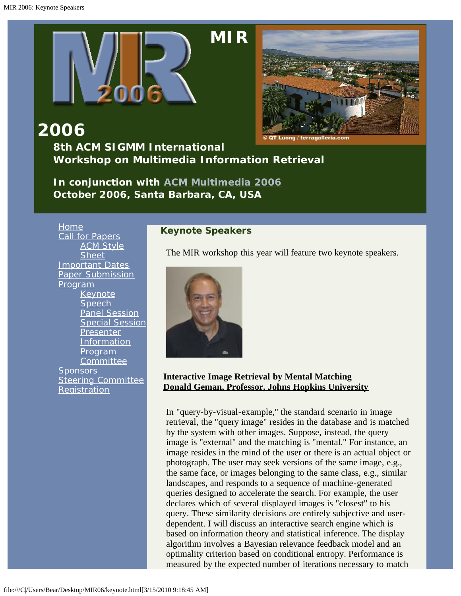<span id="page-15-0"></span>



**2006 8th ACM SIGMM International Workshop on Multimedia Information Retrieval**

*In conjunction with [ACM Multimedia 2006](javascript:if(confirm() October 2006, Santa Barbara, CA, USA*

[Home](#page-2-0) [Call for Papers](#page-10-0) **[ACM Style](javascript:if(confirm() [Sheet](javascript:if(confirm()** [Important Dates](#page-13-0) [Paper Submission](#page-14-0) [Program](#page-4-0) [Keynote](#page-15-0) **[Speech](#page-15-0)** [Panel Session](#page-18-0) [Special Session](#page-19-0) **[Presenter](#page-23-0) [Information](#page-23-0) [Program](#page-24-0) [Committee](#page-24-0) [Sponsors](#page-27-0)** [Steering Committee](#page-28-0) **[Registration](#page-29-0)** 

#### **Keynote Speakers**

The MIR workshop this year will feature two keynote speakers.



#### **Interactive Image Retrieval by Mental Matching [Donald Geman, Professor, Johns Hopkins University](javascript:if(confirm()**

In "query-by-visual-example," the standard scenario in image retrieval, the "query image" resides in the database and is matched by the system with other images. Suppose, instead, the query image is "external" and the matching is "mental." For instance, an image resides in the mind of the user or there is an actual object or photograph. The user may seek versions of the same image, e.g., the same face, or images belonging to the same class, e.g., similar landscapes, and responds to a sequence of machine-generated queries designed to accelerate the search. For example, the user declares which of several displayed images is "closest" to his query. These similarity decisions are entirely subjective and userdependent. I will discuss an interactive search engine which is based on information theory and statistical inference. The display algorithm involves a Bayesian relevance feedback model and an optimality criterion based on conditional entropy. Performance is measured by the expected number of iterations necessary to match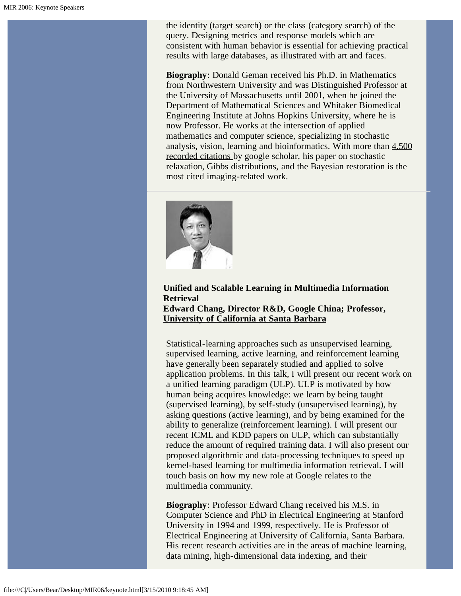the identity (target search) or the class (category search) of the query. Designing metrics and response models which are consistent with human behavior is essential for achieving practical results with large databases, as illustrated with art and faces.

**Biography**: Donald Geman received his Ph.D. in Mathematics from Northwestern University and was Distinguished Professor at the University of Massachusetts until 2001, when he joined the Department of Mathematical Sciences and Whitaker Biomedical Engineering Institute at Johns Hopkins University, where he is now Professor. He works at the intersection of applied mathematics and computer science, specializing in stochastic analysis, vision, learning and bioinformatics. With more than [4,500](javascript:if(confirm() [recorded citations](javascript:if(confirm() by google scholar, his paper on stochastic relaxation, Gibbs distributions, and the Bayesian restoration is the most cited imaging-related work.



#### **Unified and Scalable Learning in Multimedia Information Retrieval [Edward Chang, Director R&D, Google China; Professor,](file:///C|/Users/Bear/Desktop/MIR06/="javascript:if(confirm() [University of California at Santa Barbara](file:///C|/Users/Bear/Desktop/MIR06/="javascript:if(confirm()**

Statistical-learning approaches such as unsupervised learning, supervised learning, active learning, and reinforcement learning have generally been separately studied and applied to solve application problems. In this talk, I will present our recent work on a unified learning paradigm (ULP). ULP is motivated by how human being acquires knowledge: we learn by being taught (supervised learning), by self-study (unsupervised learning), by asking questions (active learning), and by being examined for the ability to generalize (reinforcement learning). I will present our recent ICML and KDD papers on ULP, which can substantially reduce the amount of required training data. I will also present our proposed algorithmic and data-processing techniques to speed up kernel-based learning for multimedia information retrieval. I will touch basis on how my new role at Google relates to the multimedia community.

**Biography**: Professor Edward Chang received his M.S. in Computer Science and PhD in Electrical Engineering at Stanford University in 1994 and 1999, respectively. He is Professor of Electrical Engineering at University of California, Santa Barbara. His recent research activities are in the areas of machine learning, data mining, high-dimensional data indexing, and their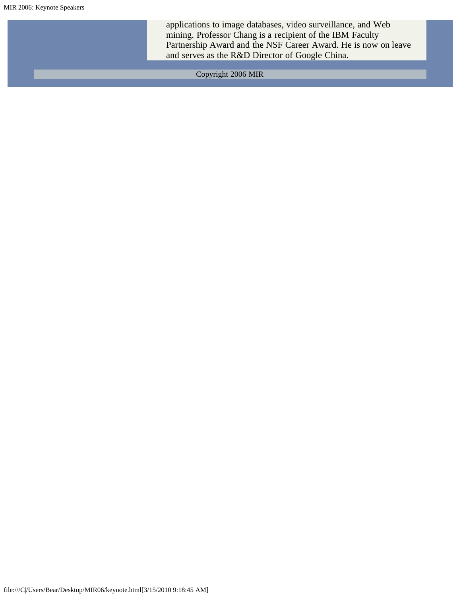applications to image databases, video surveillance, and Web mining. Professor Chang is a recipient of the IBM Faculty Partnership Award and the NSF Career Award. He is now on leave and serves as the R&D Director of Google China.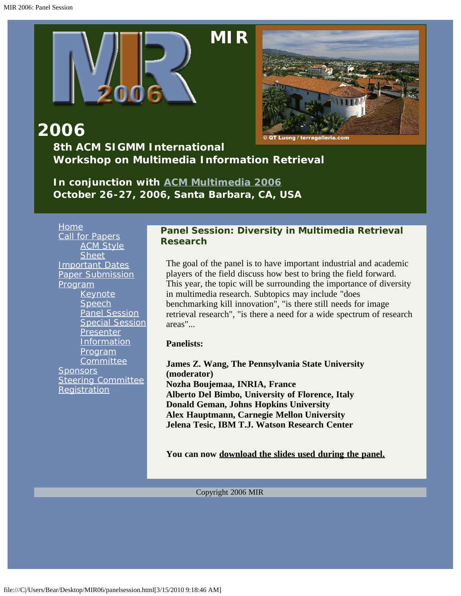<span id="page-18-0"></span>



## **2006 8th ACM SIGMM International Workshop on Multimedia Information Retrieval**

*In conjunction with [ACM Multimedia 2006](javascript:if(confirm() October 26-27, 2006, Santa Barbara, CA, USA*

[Home](#page-2-0) [Call for Papers](#page-10-0) [ACM Style](javascript:if(confirm() **[Sheet](javascript:if(confirm()** [Important Dates](#page-13-0) [Paper Submission](#page-14-0) [Program](#page-4-0) [Keynote](#page-15-0) [Speech](#page-15-0) [Panel Session](#page-18-0) [Special Session](#page-19-0) [Presenter](#page-23-0) **[Information](#page-23-0)** [Program](#page-24-0) **[Committee](#page-24-0) [Sponsors](#page-27-0)** [Steering Committee](#page-28-0) **[Registration](#page-29-0)** 

#### **Panel Session: Diversity in Multimedia Retrieval Research**

The goal of the panel is to have important industrial and academic players of the field discuss how best to bring the field forward. This year, the topic will be surrounding the importance of diversity in multimedia research. Subtopics may include "does benchmarking kill innovation", "is there still needs for image retrieval research", "is there a need for a wide spectrum of research areas"...

#### **Panelists:**

**James Z. Wang, The Pennsylvania State University (moderator) Nozha Boujemaa, INRIA, France Alberto Del Bimbo, University of Florence, Italy Donald Geman, Johns Hopkins University Alex Hauptmann, Carnegie Mellon University Jelena Tesic, IBM T.J. Watson Research Center**

**You can now [download the slides used during the panel.](javascript:if(confirm()**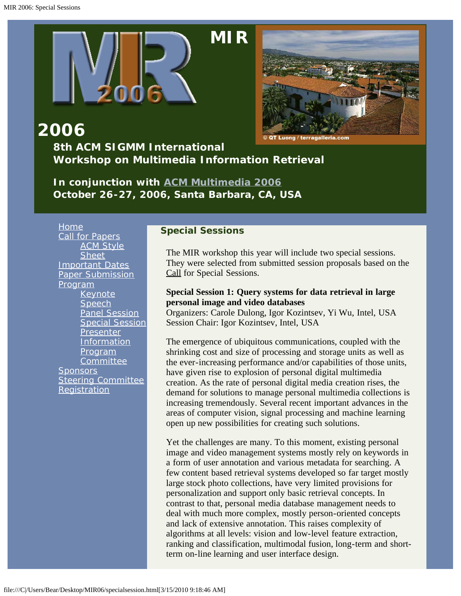<span id="page-19-0"></span>

# **[M](#page-2-0)IR**



### **2006 8th ACM SIGMM International Workshop on Multimedia Information Retrieval**

*In conjunction with [ACM Multimedia 2006](javascript:if(confirm() October 26-27, 2006, Santa Barbara, CA, USA*

[Home](#page-2-0) [Call for Papers](#page-10-0) **[ACM Style](javascript:if(confirm() [Sheet](javascript:if(confirm()** [Important Dates](#page-13-0) [Paper Submission](#page-14-0) [Program](#page-4-0) [Keynote](#page-15-0) **[Speech](#page-15-0)** [Panel Session](#page-18-0) [Special Session](#page-19-0) **[Presenter](#page-23-0) [Information](#page-23-0) [Program](#page-24-0)** [Committee](#page-24-0) **[Sponsors](#page-27-0)** [Steering Committee](#page-28-0) **[Registration](#page-29-0)** 

#### **Special Sessions**

The MIR workshop this year will include two special sessions. They were selected from submitted session proposals based on the [Call](#page-36-0) for Special Sessions.

#### **Special Session 1: Query systems for data retrieval in large personal image and video databases**

Organizers: Carole Dulong, Igor Kozintsev, Yi Wu, Intel, USA Session Chair: Igor Kozintsev, Intel, USA

The emergence of ubiquitous communications, coupled with the shrinking cost and size of processing and storage units as well as the ever-increasing performance and/or capabilities of those units, have given rise to explosion of personal digital multimedia creation. As the rate of personal digital media creation rises, the demand for solutions to manage personal multimedia collections is increasing tremendously. Several recent important advances in the areas of computer vision, signal processing and machine learning open up new possibilities for creating such solutions.

Yet the challenges are many. To this moment, existing personal image and video management systems mostly rely on keywords in a form of user annotation and various metadata for searching. A few content based retrieval systems developed so far target mostly large stock photo collections, have very limited provisions for personalization and support only basic retrieval concepts. In contrast to that, personal media database management needs to deal with much more complex, mostly person-oriented concepts and lack of extensive annotation. This raises complexity of algorithms at all levels: vision and low-level feature extraction, ranking and classification, multimodal fusion, long-term and shortterm on-line learning and user interface design.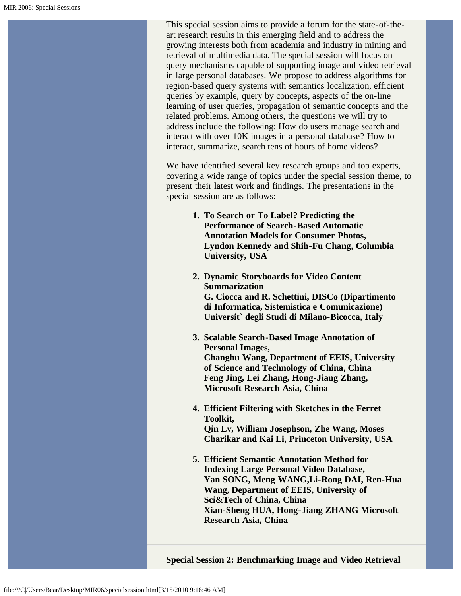This special session aims to provide a forum for the state-of-theart research results in this emerging field and to address the growing interests both from academia and industry in mining and retrieval of multimedia data. The special session will focus on query mechanisms capable of supporting image and video retrieval in large personal databases. We propose to address algorithms for region-based query systems with semantics localization, efficient queries by example, query by concepts, aspects of the on-line learning of user queries, propagation of semantic concepts and the related problems. Among others, the questions we will try to address include the following: How do users manage search and interact with over 10K images in a personal database? How to interact, summarize, search tens of hours of home videos?

We have identified several key research groups and top experts, covering a wide range of topics under the special session theme, to present their latest work and findings. The presentations in the special session are as follows:

- **1. To Search or To Label? Predicting the Performance of Search-Based Automatic Annotation Models for Consumer Photos, Lyndon Kennedy and Shih-Fu Chang, Columbia University, USA**
- **2. Dynamic Storyboards for Video Content Summarization G. Ciocca and R. Schettini, DISCo (Dipartimento di Informatica, Sistemistica e Comunicazione) Universit` degli Studi di Milano-Bicocca, Italy**
- **3. Scalable Search-Based Image Annotation of Personal Images, Changhu Wang, Department of EEIS, University of Science and Technology of China, China Feng Jing, Lei Zhang, Hong-Jiang Zhang, Microsoft Research Asia, China**
- **4. Efficient Filtering with Sketches in the Ferret Toolkit, Qin Lv, William Josephson, Zhe Wang, Moses Charikar and Kai Li, Princeton University, USA**
- **5. Efficient Semantic Annotation Method for Indexing Large Personal Video Database, Yan SONG, Meng WANG,Li-Rong DAI, Ren-Hua Wang, Department of EEIS, University of Sci&Tech of China, China Xian-Sheng HUA, Hong-Jiang ZHANG Microsoft Research Asia, China**

**Special Session 2: Benchmarking Image and Video Retrieval**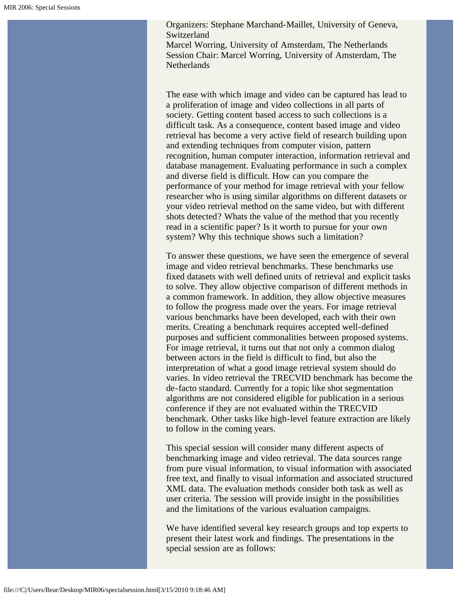Organizers: Stephane Marchand-Maillet, University of Geneva, Switzerland

Marcel Worring, University of Amsterdam, The Netherlands Session Chair: Marcel Worring, University of Amsterdam, The Netherlands

The ease with which image and video can be captured has lead to a proliferation of image and video collections in all parts of society. Getting content based access to such collections is a difficult task. As a consequence, content based image and video retrieval has become a very active field of research building upon and extending techniques from computer vision, pattern recognition, human computer interaction, information retrieval and database management. Evaluating performance in such a complex and diverse field is difficult. How can you compare the performance of your method for image retrieval with your fellow researcher who is using similar algorithms on different datasets or your video retrieval method on the same video, but with different shots detected? Whats the value of the method that you recently read in a scientific paper? Is it worth to pursue for your own system? Why this technique shows such a limitation?

To answer these questions, we have seen the emergence of several image and video retrieval benchmarks. These benchmarks use fixed datasets with well defined units of retrieval and explicit tasks to solve. They allow objective comparison of different methods in a common framework. In addition, they allow objective measures to follow the progress made over the years. For image retrieval various benchmarks have been developed, each with their own merits. Creating a benchmark requires accepted well-defined purposes and sufficient commonalities between proposed systems. For image retrieval, it turns out that not only a common dialog between actors in the field is difficult to find, but also the interpretation of what a good image retrieval system should do varies. In video retrieval the TRECVID benchmark has become the de-facto standard. Currently for a topic like shot segmentation algorithms are not considered eligible for publication in a serious conference if they are not evaluated within the TRECVID benchmark. Other tasks like high-level feature extraction are likely to follow in the coming years.

This special session will consider many different aspects of benchmarking image and video retrieval. The data sources range from pure visual information, to visual information with associated free text, and finally to visual information and associated structured XML data. The evaluation methods consider both task as well as user criteria. The session will provide insight in the possibilities and the limitations of the various evaluation campaigns.

We have identified several key research groups and top experts to present their latest work and findings. The presentations in the special session are as follows: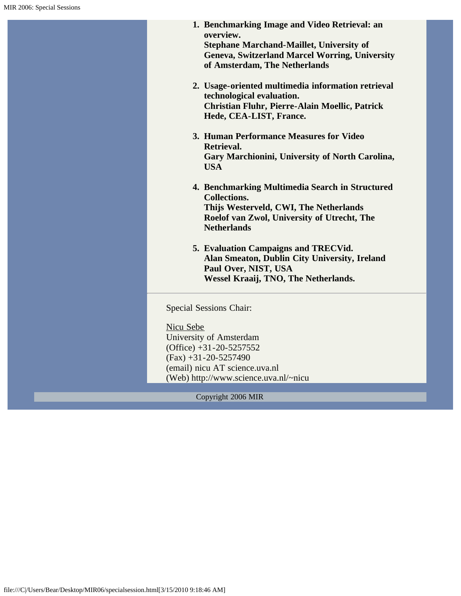| 1. Benchmarking Image and Video Retrieval: an<br>overview.<br><b>Stephane Marchand-Maillet, University of</b><br><b>Geneva, Switzerland Marcel Worring, University</b><br>of Amsterdam, The Netherlands<br>2. Usage-oriented multimedia information retrieval<br>technological evaluation.<br>Christian Fluhr, Pierre-Alain Moellic, Patrick<br>Hede, CEA-LIST, France.<br>3. Human Performance Measures for Video<br>Retrieval.<br>Gary Marchionini, University of North Carolina,<br><b>USA</b><br>4. Benchmarking Multimedia Search in Structured<br><b>Collections.</b><br>Thijs Westerveld, CWI, The Netherlands<br>Roelof van Zwol, University of Utrecht, The<br><b>Netherlands</b><br>5. Evaluation Campaigns and TRECVid.<br>Alan Smeaton, Dublin City University, Ireland<br>Paul Over, NIST, USA<br>Wessel Kraaij, TNO, The Netherlands.<br>Special Sessions Chair:<br>Nicu Sebe<br>University of Amsterdam<br>$(Office) +31 -20 -5257552$<br>$(Fax) +31-20-5257490$<br>(email) nicu AT science.uva.nl<br>(Web) http://www.science.uva.nl/~nicu |  |  |  |
|------------------------------------------------------------------------------------------------------------------------------------------------------------------------------------------------------------------------------------------------------------------------------------------------------------------------------------------------------------------------------------------------------------------------------------------------------------------------------------------------------------------------------------------------------------------------------------------------------------------------------------------------------------------------------------------------------------------------------------------------------------------------------------------------------------------------------------------------------------------------------------------------------------------------------------------------------------------------------------------------------------------------------------------------------------|--|--|--|
|                                                                                                                                                                                                                                                                                                                                                                                                                                                                                                                                                                                                                                                                                                                                                                                                                                                                                                                                                                                                                                                            |  |  |  |
|                                                                                                                                                                                                                                                                                                                                                                                                                                                                                                                                                                                                                                                                                                                                                                                                                                                                                                                                                                                                                                                            |  |  |  |
|                                                                                                                                                                                                                                                                                                                                                                                                                                                                                                                                                                                                                                                                                                                                                                                                                                                                                                                                                                                                                                                            |  |  |  |
|                                                                                                                                                                                                                                                                                                                                                                                                                                                                                                                                                                                                                                                                                                                                                                                                                                                                                                                                                                                                                                                            |  |  |  |
|                                                                                                                                                                                                                                                                                                                                                                                                                                                                                                                                                                                                                                                                                                                                                                                                                                                                                                                                                                                                                                                            |  |  |  |
|                                                                                                                                                                                                                                                                                                                                                                                                                                                                                                                                                                                                                                                                                                                                                                                                                                                                                                                                                                                                                                                            |  |  |  |
|                                                                                                                                                                                                                                                                                                                                                                                                                                                                                                                                                                                                                                                                                                                                                                                                                                                                                                                                                                                                                                                            |  |  |  |
|                                                                                                                                                                                                                                                                                                                                                                                                                                                                                                                                                                                                                                                                                                                                                                                                                                                                                                                                                                                                                                                            |  |  |  |
|                                                                                                                                                                                                                                                                                                                                                                                                                                                                                                                                                                                                                                                                                                                                                                                                                                                                                                                                                                                                                                                            |  |  |  |
|                                                                                                                                                                                                                                                                                                                                                                                                                                                                                                                                                                                                                                                                                                                                                                                                                                                                                                                                                                                                                                                            |  |  |  |
|                                                                                                                                                                                                                                                                                                                                                                                                                                                                                                                                                                                                                                                                                                                                                                                                                                                                                                                                                                                                                                                            |  |  |  |
|                                                                                                                                                                                                                                                                                                                                                                                                                                                                                                                                                                                                                                                                                                                                                                                                                                                                                                                                                                                                                                                            |  |  |  |
|                                                                                                                                                                                                                                                                                                                                                                                                                                                                                                                                                                                                                                                                                                                                                                                                                                                                                                                                                                                                                                                            |  |  |  |
|                                                                                                                                                                                                                                                                                                                                                                                                                                                                                                                                                                                                                                                                                                                                                                                                                                                                                                                                                                                                                                                            |  |  |  |
|                                                                                                                                                                                                                                                                                                                                                                                                                                                                                                                                                                                                                                                                                                                                                                                                                                                                                                                                                                                                                                                            |  |  |  |
|                                                                                                                                                                                                                                                                                                                                                                                                                                                                                                                                                                                                                                                                                                                                                                                                                                                                                                                                                                                                                                                            |  |  |  |
|                                                                                                                                                                                                                                                                                                                                                                                                                                                                                                                                                                                                                                                                                                                                                                                                                                                                                                                                                                                                                                                            |  |  |  |
|                                                                                                                                                                                                                                                                                                                                                                                                                                                                                                                                                                                                                                                                                                                                                                                                                                                                                                                                                                                                                                                            |  |  |  |
|                                                                                                                                                                                                                                                                                                                                                                                                                                                                                                                                                                                                                                                                                                                                                                                                                                                                                                                                                                                                                                                            |  |  |  |
|                                                                                                                                                                                                                                                                                                                                                                                                                                                                                                                                                                                                                                                                                                                                                                                                                                                                                                                                                                                                                                                            |  |  |  |
|                                                                                                                                                                                                                                                                                                                                                                                                                                                                                                                                                                                                                                                                                                                                                                                                                                                                                                                                                                                                                                                            |  |  |  |
|                                                                                                                                                                                                                                                                                                                                                                                                                                                                                                                                                                                                                                                                                                                                                                                                                                                                                                                                                                                                                                                            |  |  |  |
|                                                                                                                                                                                                                                                                                                                                                                                                                                                                                                                                                                                                                                                                                                                                                                                                                                                                                                                                                                                                                                                            |  |  |  |
|                                                                                                                                                                                                                                                                                                                                                                                                                                                                                                                                                                                                                                                                                                                                                                                                                                                                                                                                                                                                                                                            |  |  |  |
|                                                                                                                                                                                                                                                                                                                                                                                                                                                                                                                                                                                                                                                                                                                                                                                                                                                                                                                                                                                                                                                            |  |  |  |
|                                                                                                                                                                                                                                                                                                                                                                                                                                                                                                                                                                                                                                                                                                                                                                                                                                                                                                                                                                                                                                                            |  |  |  |
|                                                                                                                                                                                                                                                                                                                                                                                                                                                                                                                                                                                                                                                                                                                                                                                                                                                                                                                                                                                                                                                            |  |  |  |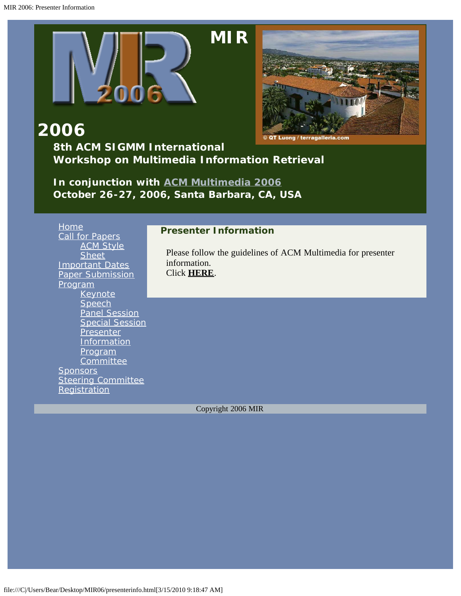<span id="page-23-0"></span>

# **[M](#page-2-0)IR**



**2006**

### **8th ACM SIGMM International Workshop on Multimedia Information Retrieval**

*In conjunction with [ACM Multimedia 2006](javascript:if(confirm() October 26-27, 2006, Santa Barbara, CA, USA*

| <b>Home</b>               | <b>Presenter Information</b>                                 |  |  |
|---------------------------|--------------------------------------------------------------|--|--|
| <b>Call for Papers</b>    |                                                              |  |  |
| <b>ACM Style</b>          |                                                              |  |  |
| <b>Sheet</b>              | Please follow the guidelines of ACM Multimedia for presenter |  |  |
| <b>Important Dates</b>    | information.                                                 |  |  |
| <b>Paper Submission</b>   | Click HERE.                                                  |  |  |
| <u>Program</u>            |                                                              |  |  |
| <b>Keynote</b>            |                                                              |  |  |
| Speech                    |                                                              |  |  |
| <b>Panel Session</b>      |                                                              |  |  |
| <b>Special Session</b>    |                                                              |  |  |
| <b>Presenter</b>          |                                                              |  |  |
| Information               |                                                              |  |  |
| <u>Program</u>            |                                                              |  |  |
| Committee                 |                                                              |  |  |
| <b>Sponsors</b>           |                                                              |  |  |
| <b>Steering Committee</b> |                                                              |  |  |
| Registration              |                                                              |  |  |
|                           |                                                              |  |  |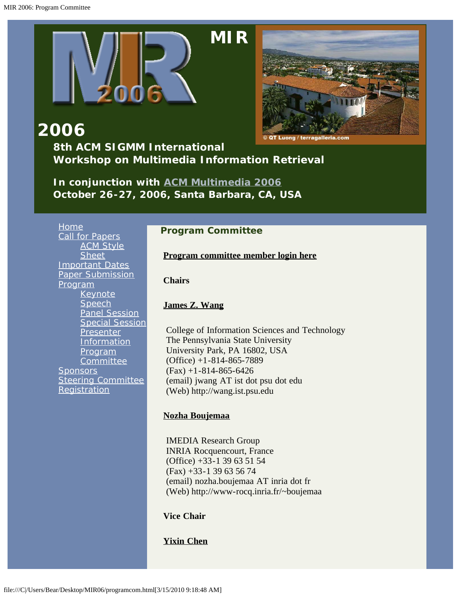<span id="page-24-0"></span>

# **[M](#page-2-0)IR**



**2006 8th ACM SIGMM International Workshop on Multimedia Information Retrieval**

*In conjunction with [ACM Multimedia 2006](javascript:if(confirm() October 26-27, 2006, Santa Barbara, CA, USA*

[Home](#page-2-0) [Call for Papers](#page-10-0) **[ACM Style](javascript:if(confirm() [Sheet](javascript:if(confirm()** [Important Dates](#page-13-0) [Paper Submission](#page-14-0) [Program](#page-4-0) [Keynote](#page-15-0) **[Speech](#page-15-0)** [Panel Session](#page-18-0) [Special Session](#page-19-0) **[Presenter](#page-23-0)** [Information](#page-23-0) [Program](#page-24-0) **[Committee](#page-24-0) [Sponsors](#page-27-0) [Steering Committee](#page-28-0) [Registration](#page-29-0)** 

#### **Program Committee**

**[Program committee member login here](javascript:if(confirm()**

**Chairs**

#### **[James Z. Wang](javascript:if(confirm()**

College of Information Sciences and Technology The Pennsylvania State University University Park, PA 16802, USA (Office) +1-814-865-7889  $(Fax) + 1 - 814 - 865 - 6426$ (email) jwang AT ist dot psu dot edu (Web) http://wang.ist.psu.edu

#### **[Nozha Boujemaa](javascript:if(confirm()**

IMEDIA Research Group INRIA Rocquencourt, France (Office) +33-1 39 63 51 54 (Fax) +33-1 39 63 56 74 (email) nozha.boujemaa AT inria dot fr (Web) http://www-rocq.inria.fr/~boujemaa

**Vice Chair**

**[Yixin Chen](javascript:if(confirm()**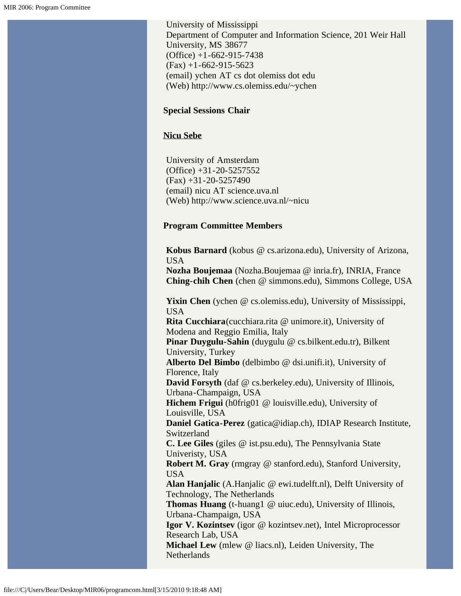University of Mississippi Department of Computer and Information Science, 201 Weir Hall University, MS 38677  $(Office) +1-662-915-7438$  $(Fax) + 1 - 662 - 915 - 5623$ (email) ychen AT cs dot olemiss dot edu (Web) http://www.cs.olemiss.edu/~ychen

#### **Special Sessions Chair**

#### **[Nicu Sebe](javascript:if(confirm()**

University of Amsterdam (Office) +31-20-5257552  $(Fax) +31-20-5257490$ (email) nicu AT science.uva.nl (Web) http://www.science.uva.nl/~nicu

#### **Program Committee Members**

**Kobus Barnard** (kobus @ cs.arizona.edu), University of Arizona, USA

**Nozha Boujemaa** (Nozha.Boujemaa @ inria.fr), INRIA, France **Ching-chih Chen** (chen @ simmons.edu), Simmons College, USA

Yixin Chen (ychen @ cs.olemiss.edu), University of Mississippi, USA

**Rita Cucchiara**(cucchiara.rita @ unimore.it), University of Modena and Reggio Emilia, Italy

**Pinar Duygulu-Sahin** (duygulu @ cs.bilkent.edu.tr), Bilkent University, Turkey

**Alberto Del Bimbo** (delbimbo @ dsi.unifi.it), University of Florence, Italy

**David Forsyth** (daf @ cs.berkeley.edu), University of Illinois, Urbana-Champaign, USA

**Hichem Frigui** (h0frig01 @ louisville.edu), University of Louisville, USA

**Daniel Gatica-Perez** (gatica@idiap.ch), IDIAP Research Institute, Switzerland

**C. Lee Giles** (giles @ ist.psu.edu), The Pennsylvania State Univeristy, USA

**Robert M. Gray** (rmgray @ stanford.edu), Stanford University, USA

**Alan Hanjalic** (A.Hanjalic @ ewi.tudelft.nl), Delft University of Technology, The Netherlands

**Thomas Huang** (t-huang1 @ uiuc.edu), University of Illinois, Urbana-Champaign, USA

**Igor V. Kozintsev** (igor @ kozintsev.net), Intel Microprocessor Research Lab, USA

**Michael Lew** (mlew @ liacs.nl), Leiden University, The **Netherlands**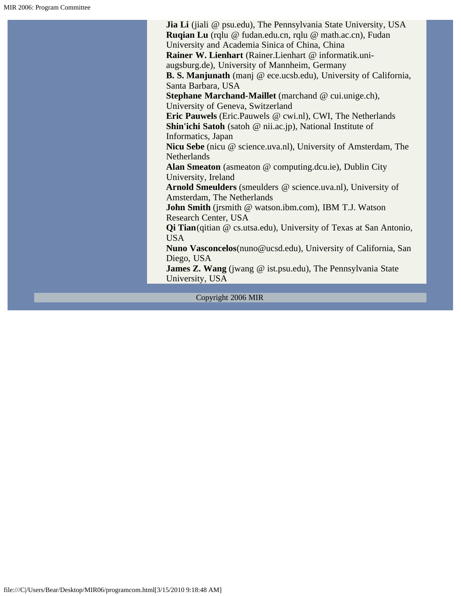**Jia Li** (jiali @ psu.edu), The Pennsylvania State University, USA **Ruqian Lu** (rqlu @ fudan.edu.cn, rqlu @ math.ac.cn), Fudan University and Academia Sinica of China, China **Rainer W. Lienhart** (Rainer.Lienhart @ informatik.uniaugsburg.de), University of Mannheim, Germany **B. S. Manjunath** (manj @ ece.ucsb.edu), University of California, Santa Barbara, USA **Stephane Marchand-Maillet** (marchand @ cui.unige.ch), University of Geneva, Switzerland **Eric Pauwels** (Eric.Pauwels @ cwi.nl), CWI, The Netherlands **Shin'ichi Satoh** (satoh @ nii.ac.jp), National Institute of Informatics, Japan **Nicu Sebe** (nicu @ science.uva.nl), University of Amsterdam, The **Netherlands Alan Smeaton** (asmeaton @ computing.dcu.ie), Dublin City University, Ireland **Arnold Smeulders** (smeulders @ science.uva.nl), University of Amsterdam, The Netherlands **John Smith** (jrsmith @ watson.ibm.com), IBM T.J. Watson Research Center, USA **Qi Tian**(qitian @ cs.utsa.edu), University of Texas at San Antonio, USA **Nuno Vasconcelos**(nuno@ucsd.edu), University of California, San Diego, USA **James Z. Wang** (jwang @ ist.psu.edu), The Pennsylvania State University, USA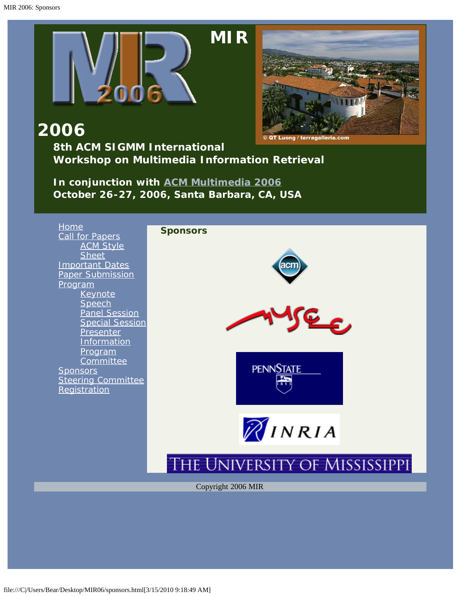<span id="page-27-0"></span>



**2006**

**8th ACM SIGMM International Workshop on Multimedia Information Retrieval**

*In conjunction with [ACM Multimedia 2006](javascript:if(confirm() October 26-27, 2006, Santa Barbara, CA, USA*

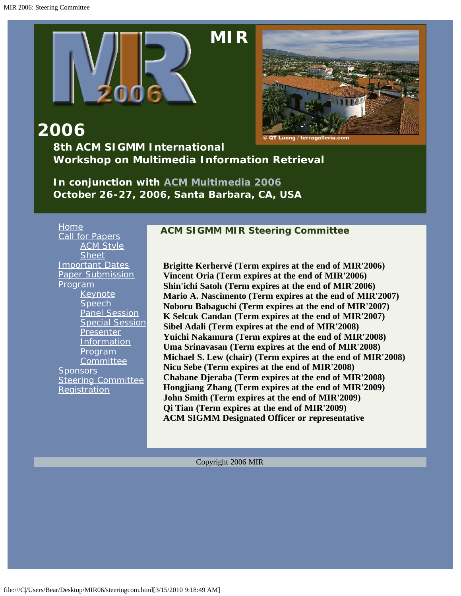<span id="page-28-0"></span>

**2006 8th ACM SIGMM International Workshop on Multimedia Information Retrieval**

*In conjunction with [ACM Multimedia 2006](javascript:if(confirm() October 26-27, 2006, Santa Barbara, CA, USA*

[Home](#page-2-0) [Call for Papers](#page-10-0) **[ACM Style](javascript:if(confirm() [Sheet](javascript:if(confirm()** [Important Dates](#page-13-0) [Paper Submission](#page-14-0) [Program](#page-4-0) [Keynote](#page-15-0) **[Speech](#page-15-0)** [Panel Session](#page-18-0) [Special Session](#page-19-0) **[Presenter](#page-23-0) [Information](#page-23-0)** [Program](#page-24-0) **[Committee](#page-24-0) [Sponsors](#page-27-0)** [Steering Committee](#page-28-0) **[Registration](#page-29-0)** 

#### **ACM SIGMM MIR Steering Committee**

**Brigitte Kerhervé (Term expires at the end of MIR'2006) Vincent Oria (Term expires at the end of MIR'2006) Shin'ichi Satoh (Term expires at the end of MIR'2006) Mario A. Nascimento (Term expires at the end of MIR'2007) Noboru Babaguchi (Term expires at the end of MIR'2007) K Selcuk Candan (Term expires at the end of MIR'2007) Sibel Adali (Term expires at the end of MIR'2008) Yuichi Nakamura (Term expires at the end of MIR'2008) Uma Srinavasan (Term expires at the end of MIR'2008) Michael S. Lew (chair) (Term expires at the end of MIR'2008) Nicu Sebe (Term expires at the end of MIR'2008) Chabane Djeraba (Term expires at the end of MIR'2008) Hongjiang Zhang (Term expires at the end of MIR'2009) John Smith (Term expires at the end of MIR'2009) Qi Tian (Term expires at the end of MIR'2009) ACM SIGMM Designated Officer or representative**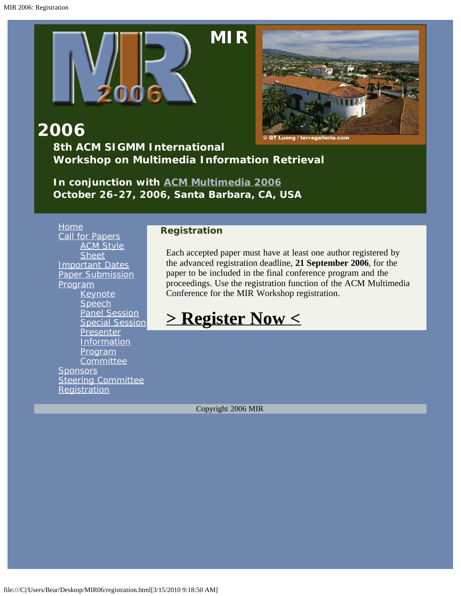<span id="page-29-0"></span>

**2006**

### **8th ACM SIGMM International Workshop on Multimedia Information Retrieval**

*In conjunction with [ACM Multimedia 2006](javascript:if(confirm() October 26-27, 2006, Santa Barbara, CA, USA*

[Home](#page-2-0) [Call for Papers](#page-10-0) **[ACM Style](javascript:if(confirm() [Sheet](javascript:if(confirm()** [Important Dates](#page-13-0) [Paper Submission](#page-14-0) [Program](#page-4-0) **[Keynote](#page-15-0) [Speech](#page-15-0)** [Panel Session](#page-18-0) **[Special Session](#page-19-0) [Presenter](#page-23-0) [Information](#page-23-0)** [Program](#page-24-0) **[Committee](#page-24-0) [Sponsors](#page-27-0) [Steering Committee](#page-28-0) [Registration](#page-29-0)** 

#### **Registration**

Each accepted paper must have at least one author registered by the advanced registration deadline, **21 September 2006**, for the paper to be included in the final conference program and the proceedings. Use the registration function of the ACM Multimedia Conference for the MIR Workshop registration.

# **[> Register Now <](javascript:if(confirm()**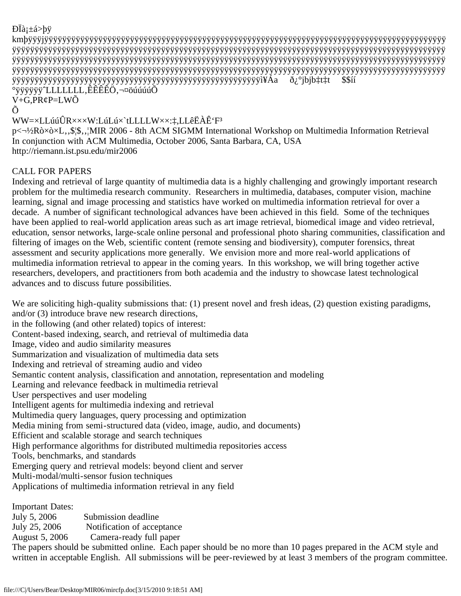```
D\ddot{a}i\pmá>bÿ
```
kmþÿÿÿjÿÿÿÿÿÿÿÿÿÿÿÿÿÿÿÿÿÿÿÿÿÿÿÿÿÿÿÿÿÿÿÿÿÿÿÿÿÿÿÿÿÿÿÿÿÿÿÿÿÿÿÿÿÿÿÿÿÿÿÿÿÿÿÿÿÿÿÿÿÿÿÿÿÿÿÿÿÿÿÿÿÿÿÿÿÿÿÿÿ ÿÿÿÿÿÿÿÿÿÿÿÿÿÿÿÿÿÿÿÿÿÿÿÿÿÿÿÿÿÿÿÿÿÿÿÿÿÿÿÿÿÿÿÿÿÿÿÿÿÿÿÿÿÿÿÿÿÿÿÿÿÿÿÿÿÿÿÿÿÿÿÿÿÿÿÿÿÿÿÿÿÿÿÿÿÿÿÿÿÿÿÿÿÿÿÿ ÿÿÿÿÿÿÿÿÿÿÿÿÿÿÿÿÿÿÿÿÿÿÿÿÿÿÿÿÿÿÿÿÿÿÿÿÿÿÿÿÿÿÿÿÿÿÿÿÿÿÿÿÿÿÿÿÿÿÿÿÿÿÿÿÿÿÿÿÿÿÿÿÿÿÿÿÿÿÿÿÿÿÿÿÿÿÿÿÿÿÿÿÿÿÿÿ ÿÿÿÿÿÿÿÿÿÿÿÿÿÿÿÿÿÿÿÿÿÿÿÿÿÿÿÿÿÿÿÿÿÿÿÿÿÿÿÿÿÿÿÿÿÿÿÿÿÿÿÿÿÿÿÿÿÿÿÿÿÿÿÿÿÿÿÿÿÿÿÿÿÿÿÿÿÿÿÿÿÿÿÿÿÿÿÿÿÿÿÿÿÿÿÿ ÿÿÿÿÿÿÿÿÿÿÿÿÿÿÿÿÿÿÿÿÿÿÿÿÿÿÿÿÿÿÿÿÿÿÿÿÿÿÿÿÿÿÿÿÿÿÿÿÿÿÿÿÿÿÿì¥Áa ð¿°jbjb‡t‡t \$\$íí  $^{\circ}$ ÿÿÿÿyÿ $^{\circ}$ LLLLLLL,ÊÊÊÊÖ,¬¤öúúúúÕ V+G,PR¢P=LWÕ

Õ

#### WW=×LLúúÛR×××W:LúLú×`tLLLLW××:‡,LLêËÀÊ'F³

p< $\rightarrow$ <sup>1</sup>/2Rò×ò×L,,\$¦\$,,¦MIR 2006 - 8th ACM SIGMM International Workshop on Multimedia Information Retrieval In conjunction with ACM Multimedia, October 2006, Santa Barbara, CA, USA http://riemann.ist.psu.edu/mir2006

#### CALL FOR PAPERS

Indexing and retrieval of large quantity of multimedia data is a highly challenging and growingly important research problem for the multimedia research community. Researchers in multimedia, databases, computer vision, machine learning, signal and image processing and statistics have worked on multimedia information retrieval for over a decade. A number of significant technological advances have been achieved in this field. Some of the techniques have been applied to real-world application areas such as art image retrieval, biomedical image and video retrieval, education, sensor networks, large-scale online personal and professional photo sharing communities, classification and filtering of images on the Web, scientific content (remote sensing and biodiversity), computer forensics, threat assessment and security applications more generally. We envision more and more real-world applications of multimedia information retrieval to appear in the coming years. In this workshop, we will bring together active researchers, developers, and practitioners from both academia and the industry to showcase latest technological advances and to discuss future possibilities.

We are soliciting high-quality submissions that: (1) present novel and fresh ideas, (2) question existing paradigms, and/or (3) introduce brave new research directions, in the following (and other related) topics of interest: Content-based indexing, search, and retrieval of multimedia data Image, video and audio similarity measures Summarization and visualization of multimedia data sets Indexing and retrieval of streaming audio and video Semantic content analysis, classification and annotation, representation and modeling Learning and relevance feedback in multimedia retrieval User perspectives and user modeling Intelligent agents for multimedia indexing and retrieval Multimedia query languages, query processing and optimization Media mining from semi-structured data (video, image, audio, and documents) Efficient and scalable storage and search techniques High performance algorithms for distributed multimedia repositories access Tools, benchmarks, and standards Emerging query and retrieval models: beyond client and server Multi-modal/multi-sensor fusion techniques Applications of multimedia information retrieval in any field

Important Dates: July 5, 2006 Submission deadline July 25, 2006 Notification of acceptance August 5, 2006 Camera-ready full paper The papers should be submitted online. Each paper should be no more than 10 pages prepared in the ACM style and written in acceptable English. All submissions will be peer-reviewed by at least 3 members of the program committee.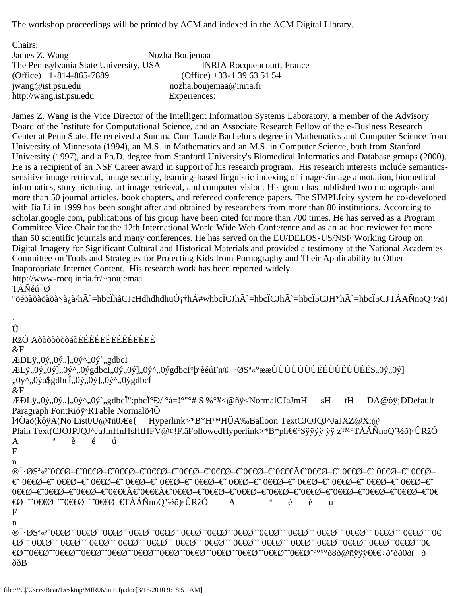The workshop proceedings will be printed by ACM and indexed in the ACM Digital Library.

| Chairs:                                |                                   |
|----------------------------------------|-----------------------------------|
| James Z. Wang                          | Nozha Boujemaa                    |
| The Pennsylvania State University, USA | <b>INRIA Rocquencourt, France</b> |
| $(Office) + 1 - 814 - 865 - 7889$      | $(Office) + 33 - 139635154$       |
| jwang@ist.psu.edu                      | nozha.boujemaa@inria.fr           |
| http://wang.ist.psu.edu                | Experiences:                      |

James Z. Wang is the Vice Director of the Intelligent Information Systems Laboratory, a member of the Advisory Board of the Institute for Computational Science, and an Associate Research Fellow of the e-Business Research Center at Penn State. He received a Summa Cum Laude Bachelor's degree in Mathematics and Computer Science from University of Minnesota (1994), an M.S. in Mathematics and an M.S. in Computer Science, both from Stanford University (1997), and a Ph.D. degree from Stanford University's Biomedical Informatics and Database groups (2000). He is a recipient of an NSF Career award in support of his research program. His research interests include semanticssensitive image retrieval, image security, learning-based linguistic indexing of images/image annotation, biomedical informatics, story picturing, art image retrieval, and computer vision. His group has published two monographs and more than 50 journal articles, book chapters, and refereed conference papers. The SIMPLIcity system he co-developed with Jia Li in 1999 has been sought after and obtained by researchers from more than 80 institutions. According to scholar.google.com, publications of his group have been cited for more than 700 times. He has served as a Program Committee Vice Chair for the 12th International World Wide Web Conference and as an ad hoc reviewer for more than 50 scientific journals and many conferences. He has served on the EU/DELOS-US/NSF Working Group on Digital Imagery for Significant Cultural and Historical Materials and provided a testimony at the National Academies Committee on Tools and Strategies for Protecting Kids from Pornography and Their Applicability to Other Inappropriate Internet Content. His research work has been reported widely.

http://www-rocq.inria.fr/~boujemaa

TÁÑéú¯Ø

·

°õéõàõàõàõà×à¿à/hÃ`=hbcÏhâCJcHdhdhdhuÓ¡†hÁ#whbcÏCJhÃ`=hbcÏCJhÃ`=hbcÏ5CJH\*hÃ`=hbcÏ5CJTÀÁÑnoQ'½õ)

```
Û
RžÓ AòòòòòòòáòÈÈÈÈÈÈÈÈÈÈÈÈÈÈ
\&F\angle EDL\ddot{y}, 0\dot{y}, 0\dot{y}, 0\dot{y}, 0\dot{y}^*, 0\dot{y}^*,gdbc\ddot{I}ÆLÿ,,0ý,,0ý],,0ý^,,0ýgdbcĬ,,0ý,,0ý],,0ý^,,0ýgdbcϰþªèéúFn®¯·ØSª«°ææÙÙÙÙÙÙÙÉÉÙÙÉÙÙÉÉ$,,0ý,,0ý]
,,0ý^,,0ýa$gdbcÏ,,0ý,,0ý],,0ý^,,0ýgdbcÏ
&F
ÆÐLÿ,,0ý,,0ý,,],,0ý^,,0ý`,,gdbcÏ":pbcϰÐ/ °à=!°"°# $ %°¥<@ñÿ<NormalCJaJmH sH tH DA@òÿ¡DDefault
Paragraph FontRióÿ<sup>3</sup>RTable Normalö4Ö
l4Öaö(kôÿÁ(No List0U@¢ñ0Æe{ Hyperlink>*B*H™HÜA‰Balloon TextCJOJQJ^JaJXZ@X:@
Plain Text(CJOJPJQJ^JaJmHnHsHtHFV@¢!F.äFollowedHyperlink>*B*ph€€°$ÿÿÿÿ ÿÿ z™°TÀÁÑnoQ'½õ)·ÛRžÓ
A ª è é ú 
F
n
®¯·ØSª«²˜0€€Ø–€˜0€€Ø–€˜0€€Ø–€˜0€€Ø–€˜0€€Ø–€˜0€€Ø–€˜0€€Ø–€˜0€€€Ã€˜0€€Ø–€˜ 0€€Ø–€˜ 0€€Ø–€˜ 0€€Ø–
€˜ 0€€Ø–€˜ 0€€Ø–€˜ 0€€Ø–€˜ 0€€Ø–€˜ 0€€Ø–€˜ 0€€Ø–€˜ 0€€Ø–€˜ 0€€Ø–€˜ 0€€Ø–€˜ 0€€Ø–€˜ 0€€Ø–€˜ 0€€Ø–€˜ 
0€€Ø–€0€€Ø–€0€€Ø–€0€€€Ã€0€€€Ã€0€€Ø–€0€€Ø–€0€€Ø–€0€€Ø–€0€€Ø–€0€€Ø–€©
€Ø–ˆ˜0€€Ø–ˆ˜0€€Ø–ˆ˜0€€Ø–€TÀÁÑnoQ'½õ)·ÛRžÓ A ª è é ú 
F
n
®¯·ØSª«<sup>z~</sup>0€€Ø~~0€€Ø~~0€€Ø~~0€€Ø~~0€€Ø~~0€€Ø~~0€€Ø~~0€€Ø~~ 0€€Ø~~ 0€€Ø~~ 0€€Ø~~ 0€€
€Ø˜˜ 0€€Ø˜˜ 0€€Ø˜˜ 0€€Ø˜˜ 0€€Ø˜˜ 0€€Ø˜˜ 0€€Ø˜˜ 0€€Ø˜˜ 0€€Ø˜˜ 0€€Ø˜˜ 0€€Ø˜˜0€€Ø˜˜0€€Ø˜˜0€€Ø˜˜0€€Ø˜˜0€
<del>€</del>Ø~~0<del>€</del>€Ø~~0<del>€€</del>Ø~~0<del>€€</del>Ø~~0€€Ø~~0€€Ø~~0€€Ø~~0€€Ø~~0€€Ø~~0€€Ø~°°°°ð8ð@ñÿÿÿ<del>€€€.</del>∂'ðð0ð( ð
ððB
```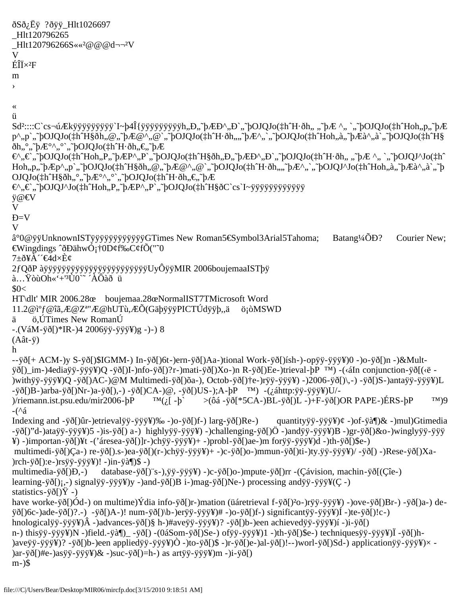```
ðSð¿Ëÿ ?ðÿÿ_Hlt1026697
_Hlt120796265
_Hlt120796266S««²@@@d¬¬²V
V
E\ddot{\mathrm{I}}\times^2Fm
›
«
ü
Sd<sup>2</sup>::::C`cs¬úÆkÿÿÿÿÿÿÿÿÿ`I~þ4Î{ÿÿÿÿÿÿÿÿyÿ}yih,,Đ,,~pÆĐ^,,Đ`,,~pOJQJo(‡h^H·ðh,, ,,~pÆ ^,, `,,~pOJQJo(‡h^Hoh,,p,,~pÆ
p^,,p`,,~bOJQJo(‡h^H§ðh,,@,,~bÆ@^,,@`,,~bOJQJo(‡h^H·ðh,,,,~bÆ^,`,,~bOJQJo(‡h^Hoh,,à,,~bÆà^,,à`,,~bOJQJo(‡h^H§
ðh,,°,,~pE^{\circ}^,,°`,,~pOJQJo(\ddaggerh^H·ðh,,\epsilon,~pE€^"€`"˜þOJQJo(‡hˆHoh"P"˜þÆP^"P`"˜þOJQJo(‡hˆH§ðh"Є˜þÆÐ^"Ð`"˜þOJQJo(‡hˆH·ðh" "˜þÆ ^" `"˜þOJQJ^Jo(‡hˆ
Hoh, p, \tilde{p} \rightarrow P, \tilde{p}, \tilde{p}OJQJo(\ddagger h \tilde{h}H§ðh,,\mathcal{Q}, \tilde{p} BE\mathcal{Q},,\mathcal{Q}, \tilde{p}bOJQJo(\ddagger h \tilde{h}·H·ðh,,,\tilde{p}BA\tilde{p},,\tilde{p},\tilde{p}DJQJ\tilde{p}U\tilde{p}OJQJo(\ddagger h\hat{H}\hat{g}\hat{d}\hat{h},\hat{g},\hat{h}A\hat{e}\hat{g}\hat{h},\hat{g},\hat{h}A\hat{e}\hat{g}\hat{h},\hat{g},\hat{h}A\hat{e}\hat{g}\hat{h},\hat{g},\hat{h}A\hat{e}\hat{g}\hat{h},\hat{g},\hat{h}A\hat{e}\hat{g}\hat{h},\hat{g},\hat{h}A\hat{e}\hat{g}\hat{h},\hat{g},\hat{h}A\hat{e}\hat{g}\hat{h},\hat{g},\hat{h}A\hat{e}\hat{g}\hat{h},\hat\mathcal{E}, \mathcal{E}, \mathcal{F}bOJQJ^Jo(\downarrowh^Hoh,,P,,~bÆP^,,P`,,~bOJQJo(\downarrowh^H§ðC`cs`I~ÿÿÿÿÿÿÿÿÿÿÿÿ
ÿ@€V
V
Ð=V
V
â°0@ÿÿUnknownISTÿÿÿÿÿÿÿÿÿÿÿÿGTimes New Roman5€Symbol3Arial5Tahoma; Batang¼ÕÐ? Courier New;
€Wingdings ˆðÐähwÓ¡†0D¢f‰C¢fÕ("˜0
7±ð¥À´´€4d×È¢
2fQðP àÿÿÿÿÿÿÿÿÿÿÿÿÿÿÿyÿÿÿUyÔÿÿMIR 2006boujemaaISTþÿ
à…ŸòùOh«'+'³Ù0`˜ ´ÀÔàð ü
$0<
HT\dlt' MIR 2006.28œ boujemaa.28œNormalIST7TMicrosoft Word 
11.2@캃@îã,Æ@Zª"Æ@hUTù,ÆÕ(GäþÿÿÿPICTÚdÿÿþ,,ä ö¡òMSWD
ä ö,ÚTimes New RomanÚ
-.(VáM-ÿð[)*IR-)4 2006ÿÿ-ÿÿÿ¥)g -)-) 8
(Aât-ÿ)
h
--ÿð[+ ACM-)y S-ÿð[)$IGMM-) In-ÿð[)6t-)ern-ÿð[)Aa-)tional Work-ÿð[)ísh-)-opÿÿ-ÿÿÿ¥)0 -)o-ÿð[)n -)&Mult-
ÿð[)_im-)4ediaÿÿ-ÿÿÿ¥)Q -ÿð[)I-)nfo-ÿð[)?r-)mati-ÿð[)Xo-)n R-ÿð[)Ee-)trieval-þP ™) -(‹áIn conjunction-ÿð[(‹ë -
)withÿÿ-ÿÿÿ¥)Q -ÿð[)AC-)@M Multimedi-ÿð[)õa-), Octob-ÿð[)†e-)rÿÿ-ÿÿÿ¥) -)2006-ÿð[)\,-) -ÿð[)S-)antaÿÿ-ÿÿÿ¥)L 
-ÿð[)B-)arba-ÿð[)Nr-)a-ÿð[),-) -ÿð[)CA-)@, -ÿð[)US-);A-þP ™) -(¿áhttp:ÿÿ-ÿÿÿ¥)U/-
)/riemann.ist.psu.edu/mir2006-bP ^{TM}(i, [-b] > (0.66 - \ddot{y}0)^*5CA-)BL - \ddot{y}0(L) -)+F-\ddot{y}0(DR PAPE-)ERS-bP ^{TM}(9-(^á
Indexing and -ÿð[)ûr-)etrievalÿÿ-ÿÿÿ¥)‰ -)o-ÿð[)f-) larg-ÿð[)Re-) quantityÿÿ-ÿÿÿ¥)¢ -)of-ÿà¶)& -)mul)Gtimedia
-ÿð[)"d-)ataÿÿ-ÿÿÿ¥)5 -)is-ÿð[) a-) highlyÿÿ-ÿÿÿ¥) -)challenging-ÿð[)Ö -)andÿÿ-ÿÿÿ¥)B -)gr-ÿð[)&o-)winglyÿÿ-ÿÿÿ
¥) -)importan-ÿð[)¥t -('áresea-ÿð[)]r-)chÿÿ-ÿÿÿ¥)+ -)probl-ÿð[)ae-)m forÿÿ-ÿÿÿ¥)d -)th-ÿð[)$e-)
 multimedi-ÿð[)Ça-) re-ÿð[).s-)ea-ÿð[)(r-)chÿÿ-ÿÿÿ¥)+ -)c-ÿð[)o-)mmun-ÿð[)ti-)ty.ÿÿ-ÿÿÿ¥)/ -ÿð[) -)Rese-ÿð[)Xa-
)rch-ÿð[):e-)rsÿÿ-ÿÿÿ¥)! -)in-ÿà¶)$ -)
multimedia-ÿð[)Ð,-) database-ÿð[)¨s-),ÿÿ-ÿÿÿ¥) -)c-ÿð[)o-)mpute-ÿð[)rr -(Çávision, machin-ÿð[(Çîe-) 
learning-ÿð[)¡,-) signalÿÿ-ÿÿÿ¥)y -)and-ÿð[)B i-)mag-ÿð[)Ne-) processing andÿÿ-ÿÿÿ¥(Ç -)
statistics-\ddot{y}ð[)\ddot{Y} -)
have worke-ÿð[)Ód-) on multime)Ýdia info-ÿð[)r-)mation (üáretrieval f-ÿð[)²o-)rÿÿ-ÿÿÿ¥) -)ove-ÿð[)Br-) -ÿð[)a-) de-
ÿð[)6c-)ade-ÿð[)?.-) -ÿð[)A-)! num-ÿð[)\b-)erÿÿ-ÿÿÿ¥)# -)o-ÿð[)f-) significantÿÿ-ÿÿÿ¥)Í -)te-ÿð[)!c-)
hnologicalÿÿ-ÿÿÿ¥)Â -)advances-ÿð[)§ h-)#aveÿÿ-ÿÿÿ¥)? -ÿð[)b-)een achievedÿÿ-ÿÿÿ¥)í -)i-ÿð[)
n-) thisÿÿ-ÿÿÿ¥)N -)field.-ÿà¶)_ -ÿð[) -(0áSom-ÿð[)Se-) ofÿÿ-ÿÿÿ¥)1 -)th-ÿð[)$e-) techniquesÿÿ-ÿÿÿ¥)Ï -ÿð[)h-
)aveÿÿ-ÿÿÿ¥)? -ÿð[)b-)een appliedÿÿ-ÿÿÿ¥)Ò -)to-ÿð[)$ -)r-ÿð[)e-)al-ÿð[)!--)worl-ÿð[)Sd-) applicationÿÿ-ÿÿÿ¥)× -
)ar-ÿð[)#e-)asÿÿ-ÿÿÿ¥)& -)suc-ÿð[)=h-) as artÿÿ-ÿÿÿ¥)m -)i-ÿð[)
m-)$
```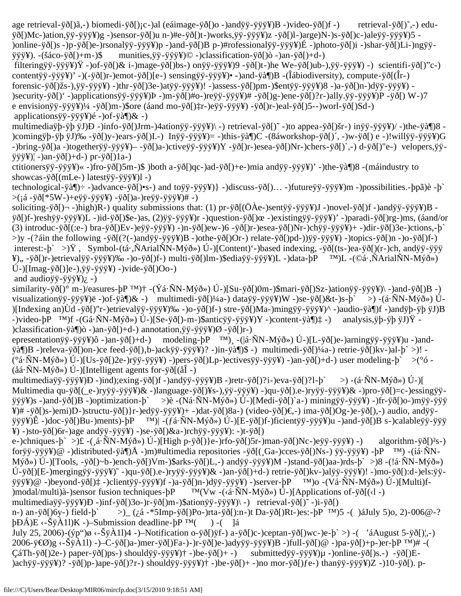age retrieval-ÿð[)ã,-) biomedi-ÿð[)¡c-)al (eáimage-ÿð[)o -)andÿÿ-ÿÿÿ¥)B -)video-ÿð[)f -) retrieval-ÿð[)˜,-) eduÿð[)Mc-)ation,ÿÿ-ÿÿÿ¥)g -)sensor-ÿð[)u n-)#e-ÿð[)t-)works,ÿÿ-ÿÿÿ¥)z -ÿð[)l-)arge)N-)s-ÿð[)c-)aleÿÿ-ÿÿÿ¥)5 - )online-ÿð[)s -)p-ÿð[)e-)rsonalÿÿ-ÿÿÿ¥)p -)and-ÿð[)B p-)#rofessionalÿÿ-ÿÿÿ¥)É -)photo-ÿð[)i -)shar-ÿð[)Li-)ngÿÿÿÿÿ¥). -(šáco-ÿð[)+m-)\$ munities,ÿÿ-ÿÿÿ¥)© -)classification-ÿð[)ò -)an-ÿð[)+d-)

 filteringÿÿ-ÿÿÿ¥)Ÿ -)of-ÿð[)& i-)mage-ÿð[)bs-) onÿÿ-ÿÿÿ¥)9 -ÿð[)t-)he We-ÿð[)ub-),ÿÿ-ÿÿÿ¥) -) scientifi-ÿð[)"c-) contentÿÿ-ÿÿÿ¥)' -)(-ÿð[)r-)emot-ÿð[)[e-) sensingÿÿ-ÿÿÿ¥)• -)and-ÿà¶)B -(Îábiodiversity), compute-ÿð[(Îr-) forensic-ÿð[)žs-),ÿÿ-ÿÿÿ¥) -)thr-ÿð[)3e-)atÿÿ-ÿÿÿ¥)! -)assess-ÿð[)pm-)\$entÿÿ-ÿÿÿ¥)8 -)a-ÿð[)n-)dÿÿ-ÿÿÿ¥) - )security-ÿð[)' -)applicationsÿÿ-ÿÿÿ¥)Þ -)m-ÿð[)#o-)reÿÿ-ÿÿÿ¥)# -ÿð[)g-)ene-ÿð[)?r-)ally.ÿÿ-ÿÿÿ¥)P -ÿð[) W-)7 e envisionÿÿ-ÿÿÿ¥)¼ -ÿð[)m-)\$ore (áand mo-ÿð[)‡r-)eÿÿ-ÿÿÿ¥) -ÿð[)r-)eal-ÿð[)5--)worl-ÿð[)Sd-) applicationsÿÿ-ÿÿÿ¥)é -)of-ÿà¶)& -)

multimediaÿþ-ÿþ ÿJ)Ð -)info-ÿð[)Jrm-)4ationÿÿ-ÿÿÿ¥)\ -) retrieval-ÿð[)˜ -)to appea-ÿð[)šr-) inÿÿ-ÿÿÿ¥)/ -)the-ÿà¶)8 - )comingÿþ-ÿþ ÿJ)‰ -ÿð[)y-)ears-ÿð[)I.-) Inÿÿ-ÿÿÿ¥)= -)this-ÿà¶)C -(8áworkshop-ÿð[)´, -)w-ÿð[) e -)!willÿÿ-ÿÿÿ¥)G -)bring-ÿð[)a -)togetherÿÿ-ÿÿÿ¥)– -ÿð[)a-)ctiveÿÿ-ÿÿÿ¥)Y -ÿð[)r-)esea-ÿð[)Nr-)chers-ÿð[)`,-) d-ÿð[)"e-) velopers,ÿÿÿÿÿ¥)¦ -)an-ÿð[)+d-) pr-ÿð[)1a-)

ctitionersÿÿ-ÿÿÿ¥)« -)fro-ÿð[)5m-)\$ )both a-ÿð[)qc-)ad-ÿð[)+e-)mia andÿÿ-ÿÿÿ¥)' -)the-ÿà¶)8 -(máindustry to showcas-ÿð[(mLe-) latestÿÿ-ÿÿÿ¥)l -)

technological-ÿà¶)÷ -)advance-ÿð[)•s-) and toÿÿ-ÿÿÿ¥)} -)discuss-ÿð[)… -)futureÿÿ-ÿÿÿ¥)m -)possibilities.-þpã)è -þ`  $>($ ¡á -ÿð[\*5W-)+eÿÿ-ÿÿÿ¥) -ÿð[)a-)reÿÿ-ÿÿÿ¥)# -)

soliciting-ÿð[)¬ -)high)R-) quality submissions that: (1) pr-ÿð[(ÖÀe-)sentÿÿ-ÿÿÿ¥)J -)novel-ÿð[)f -)andÿÿ-ÿÿÿ¥)B ÿð[)f-)reshÿÿ-ÿÿÿ¥)L -)id-ÿð[)\$e-)as, (2)ÿÿ-ÿÿÿ¥)r -)question-ÿð[)œ -)existingÿÿ-ÿÿÿ¥)' -)paradi-ÿð[)rg-)ms, (áand/or (3) introduc-ÿð[(:e-) bra-ÿð[)Ev-)eÿÿ-ÿÿÿ¥) -)n-ÿð[)ew-)6 -ÿð[)r-)esea-ÿð[)Nr-)chÿÿ-ÿÿÿ¥)+ -)dir-ÿð[)3e-)ctions,-þ` >)y -(?áin the following -ÿð[(?(-)andÿÿ-ÿÿÿ¥)B -)othe-ÿð[)Or-) relate-ÿð[)pd-))ÿÿ-ÿÿÿ¥) -)topics-ÿð[)n -)o-ÿð[)f-) interest:-þ` >)Ÿ , Symbol-(tá·,ÑArialÑN-Mýð») Ú-)[Content)'-)based indexing, -ÿð[(ts-)ea-ÿð[)(r-)ch, andÿÿ-ÿÿÿ ¥)" -ÿð[)r-)etrievalÿÿ-ÿÿÿ¥)‰ -)o-ÿð[)f-) multi-ÿð[)lm-)\$ediaÿÿ-ÿÿÿ¥)L -)data-þP ™)L -(©á·,ÑArialÑN-Mýð») Ú-)[Imag-ÿð[)]e-),ÿÿ-ÿÿÿ¥) -)vide-ÿð[)Oo-)

and audio $\ddot{y}$ ÿ- $\ddot{y}$  $\ddot{y}$  $\dddot{y}$  $\dddot{y}$  $\dddot{y}$  $\dddot{y}$  $\dddot{y}$  $\dddot{y}$  $\dddot{y}$ 

similarity-ÿð[)° m-)/easures-þP ™)† -(Ýá·ÑN-Mýð») Ú-)[Su-ÿð[)0m-)\$mari-ÿð[)Sz-)ationÿÿ-ÿÿÿ¥)\ -)and-ÿð[)B -) visualizationÿÿ-ÿÿÿ¥)ë -)of-ÿà¶)& -) multimedi-ÿð[)¼a-) dataÿÿ-ÿÿÿ¥)W -)se-ÿð[)&t-)s-þ` >) -(á·ÑN-Mýð») Ú- )[Indexing an)Ùd -ÿð[)"r-)etrievalÿÿ-ÿÿÿ¥)‰ -)o-ÿð[)f-) stre-ÿð[)Ma-)mingÿÿ-ÿÿÿ¥)^ -)audio-ÿà¶)f -)andÿþ-ÿþ ÿJ)B -)video-þP ™)f -(Gá·ÑN-Mýð») Ú-)[Se-ÿð[)-m-)\$anticÿÿ-ÿÿÿ¥)Y -)content-ÿà¶)‡ -) analysis,ÿþ-ÿþ ÿJ)Ÿ - )classification-ÿà¶)ò -)an-ÿð[)+d-) annotation,ÿÿ-ÿÿÿ¥)Ø -ÿð[)r-)

epresentationÿÿ-ÿÿÿ¥)ô -)an-ÿð[)+d-) modeling-þP ™) -(|á·ÑN-Mýð») Ú-)[L-ÿð[)e-)arningÿÿ-ÿÿÿ¥)u -)and- $\ddot{\phi}$ §jà¶)B -)releva-ÿð[)on-)ce feed-ÿð[),b-)ackÿÿ-ÿÿÿ¥)? -)in-ÿà¶)\$ -) multimedi-ÿð[)¼a-) retrie-ÿð[)kv-)al-þ` >)! -(°á·ÑN-Mýð») Ú-)[Us-ÿð[)2e-)rÿÿ-ÿÿÿ¥) -)pers-ÿð[)Lp-)ectivesÿÿ-ÿÿÿ¥) -)an-ÿð[)+d-) user modeling-þ` >(°ó -  $(\aa\&\text{NN-M}\&\text{ON})$  Ú-)[Intelligent agents for- $\ddot{\text{vol}}(\aa\ddot{\text{I}})$ 

multimediaÿÿ-ÿÿÿ¥)Ð -)ind);exing-ÿð[)f -)andÿÿ-ÿÿÿ¥)B -)retr-ÿð[)?i-)eva-ÿð[)?l-þ` >) -(á·ÑN-Mýð») Ú-)[ Multimedia qu-ÿð[(\_e-)ryÿÿ-ÿÿÿ¥)& -)language-ÿð[)¥s-),ÿÿ-ÿÿÿ¥) -)qu-ÿð[).e-)ryÿÿ-ÿÿÿ¥)& -)pro-ÿð[)=c-)essingÿÿÿÿÿ¥)s -)and-ÿð[)B -)optimization-þ` >)è -(Ná·ÑN-Mýð») Ú-)[Medi-ÿð[)`a-) miningÿÿ-ÿÿÿ¥) -)fr-ÿð[)o-)mÿÿ-ÿÿÿ ¥)# -ÿð[)s-)emi)D-)structu-ÿð[)}r-)edÿÿ-ÿÿÿ¥)+ -)dat-ÿð[)8a-) (video-ÿð[)€,-) ima-ÿð[)Og-)e-ÿð[),-) audio, andÿÿÿÿÿ¥)Ê -)doc-ÿð[)Bu-)ments)-þP ™)| -(ƒá·ÑN-Mýð») Ú-)[E-ÿð[)f-)ficientÿÿ-ÿÿÿ¥)u -)and-ÿð[)B s-)calableÿÿ-ÿÿÿ ¥) -)sto-ÿð[)6r-)age andÿÿ-ÿÿÿ¥) -)se-ÿð[)&a-)rchÿÿ-ÿÿÿ¥): -)t-ÿð[)

e-)chniques-þ` >)£ -(¸á·ÑN-Mýð») Ú-)[High p-ÿð[)}e-)rfo-ÿð[)5r-)man-ÿð[)Nc-)eÿÿ-ÿÿÿ¥) -) algorithm-ÿð[)²s-) forÿÿ-ÿÿÿ¥)@ -)distributed-ÿà¶)Å -)m)#ultimedia repositories -ÿð[(¸Ga-)cces-ÿð[)Ns-) ÿÿ-ÿÿÿ¥) -þP ™) -(íá·ÑN-Mýð») Ú-)[Tools, -ÿð[)~b-)ench-ÿð[)Vm-)\$arks-ÿð[)L,-) andÿÿ-ÿÿÿ¥)M -)stand-ÿð[)aa-)rds-þ` >)8 -(!á·ÑN-Mýð») Ú-ÿð[)[E-)mergingÿÿ-ÿÿÿ¥)˜ -)qu-ÿð[).e-)ryÿÿ-ÿÿÿ¥)& -)an-ÿð[)+d-) retrie-ÿð[)kv-)alÿÿ-ÿÿÿ¥)! -)mo-ÿð[):d-)els:ÿÿÿÿÿ¥)@ -)beyond-ÿð[)‡ -)clientÿÿ-ÿÿÿ¥)f -)a-ÿð[)n-)dÿÿ-ÿÿÿ¥) -)server-þP ™)o -(Vá·ÑN-Mýð») Ú-)[Multi)f- )modal/multi)à-)sensor fusion techniques- $pP$   $M(Vw - (\langle \hat{\alpha} \cdot \hat{N}N - M \hat{\gamma} \hat{\alpha} \rangle) \hat{U} - )$ [Applications of- $\hat{y} \delta$ [ $(\langle \hat{\alpha} \cdot \hat{\beta} \rangle)$ ] multimediaÿÿ-ÿÿÿ¥)Ð -)inf-ÿð[)3o-)r-ÿð[)m-)\$ationÿÿ-ÿÿÿ¥)\ -) retrieval-ÿð[)˜ -)i-ÿð[)

n-) an-ÿð[)6y-) field-þ` >)\_ (¿á -\*5Imp-ÿð[)Po-)rta-ÿð[):n-)t Da-ÿð[)Rt-)es:-þP ™)5 -( )áJuly 5)o, 2)-006@-?  $b\ddot{\theta}$  $\Delta$ )E <- $\ddot{\theta}$   $\ddot{\theta}$  $\Delta$  $\ddot{\theta}$  +  $\ddot{\theta}$  -Submission deadline- $bP$   $\dot{\theta}$   $\ddot{\theta}$  +  $\ddot{\theta}$  +  $\ddot{\theta}$ 

July 25, 2006)-(ýp")ø ‹-ŠÿÀ1l)4 -)–Notification o-ÿð[)ÿf-) a-ÿð[)c-)ceptan-ÿð[)wc-)e-þ` >) -( 'áAugust 5-ÿð[)¦,-) 2006-ÿ€Ø)g ‹-ŠÿÀ1l) -)–C-ÿð[)a-)mer-ÿð[)Fa-)-)r-ÿð[)e-)adyÿÿ-ÿÿÿ¥)B -)full-ÿð[)@ -)pa-ÿð[)+p-)er-þP ™)# -( ÇáTh-ÿð[)2e-) paper-ÿð[)ps-) shouldÿÿ-ÿÿÿ¥)† -)be-ÿð[)+ -) submittedÿÿ-ÿÿÿ¥)µ -)online-ÿð[)s.-) -ÿð[)E- )achÿÿ-ÿÿÿ¥)? -ÿð[)p-)ape-ÿð[)?r-) shouldÿÿ-ÿÿÿ¥)† -)be-ÿð[)+ -)no mor-ÿð[)ƒe-) thanÿÿ-ÿÿÿ¥)Z -)10-ÿð[). p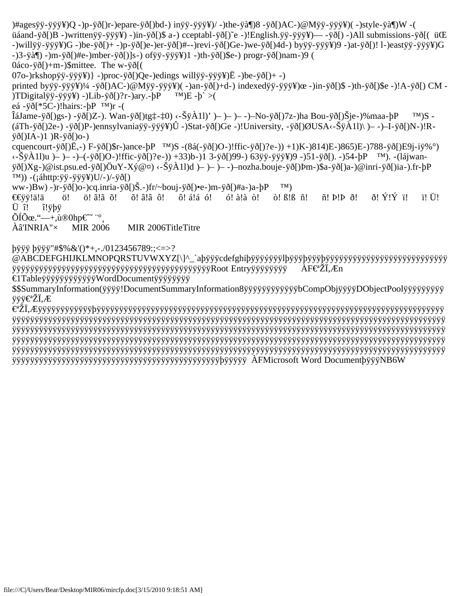)#agesÿÿ-ÿÿÿ¥)Q -)p-ÿð[)r-)epare-ÿð[)bd-) inÿÿ-ÿÿÿ¥)/ -)the-ÿà¶)8 -ÿð[)AC-)@Mÿÿ-ÿÿÿ¥)( -)style-ÿà¶)W -( üáand-ÿð[)B -)writtenÿÿ-ÿÿÿ¥) -)in-ÿð[)\$ a-) cceptabl-ÿð[)˜e -)!English.ÿÿ-ÿÿÿ¥)— -ÿð[) -)All submissions-ÿð[( üŒ -)willÿÿ-ÿÿÿ¥)G -)be-ÿð[)+ -)p-ÿð[)e-)er-ÿð[)#--)revi-ÿð[)Ge-)we-ÿð[)4d-) byÿÿ-ÿÿÿ¥)9 -)at-ÿð[)! l-)eastÿÿ-ÿÿÿ¥)G -)3-ÿà¶) -)m-ÿð[)#e-)mber-ÿð[)]s-) ofÿÿ-ÿÿÿ¥)1 -)th-ÿð[)\$e-) progr-ÿð[)nam-)9 ( 0áco-ÿð[)+m-)\$mittee. The w-ÿð[(  $(07o-)rkshop\ddot{y}\ddot{y}-\ddot{y}\ddot{y}\ddot{y}$ } -)proc- $\ddot{y}\ddot{0}$ [)Qe-)edings will $\ddot{y}\ddot{y}-\ddot{y}\ddot{y}\ddot{y}$ } $\ddot{E}$  -)be- $\ddot{y}\ddot{0}$ [)+ -) printed byÿÿ-ÿÿÿ¥)¼ -ÿð[)AC-)@Mÿÿ-ÿÿÿ¥)( -)an-ÿð[)+d-) indexedÿÿ-ÿÿÿ¥)œ -)in-ÿð[)\$ -)th-ÿð[)\$e -)!A-ÿð[) CM - )TDigitalÿÿ-ÿÿÿ¥) -)Lib-ÿð[)?r-)ary.- $pP$  ™)E - $p >$ eá -ÿð[\*5C-)!hairs:- $pP$ <sup>TM</sup>)r -(  $\hat{I}$ áJame-ÿð[)gs-) -ÿð[)Z-). Wan-ÿð[)tg $\hat{I}$ - $\hat{I}$ () <- $\hat{S}\hat{Y}$ À1l)' )– )– )– -)–No-ÿð[) $7z$ -)ha Bou-ÿð[) $\hat{S}$ je-)%maa-þP ™)S -(áTh-ÿð[)2e-) -ÿð[)P-)ennsylvaniaÿÿ-ÿÿÿ¥)Û -)Stat-ÿð[)Ge -)!University, -ÿð[)ØUSA‹-ŠÿÀ1l)\ )– -)–I-ÿð[)N-)!Rÿð[)IA-)1 )R-ÿð[)o-) cquencourt-ÿð[)Ë,-) F-ÿð[)\$r-)ance-þP ™)S -(8á(-ÿð[)O-)!ffic-ÿð[)?e-)) +1)K-)814)E-)865)E-)788-ÿð[)E9j-iÿ%°) ‹-ŠÿÀ1l)u )– )– -)–(-ÿð[)O-)!ffic-ÿð[)?e-)) +33)b-)1 3-ÿð[)99-) 63ÿÿ-ÿÿÿ¥)9 -)51-ÿð[). -)54-þP ™). -(lájwanÿð[)Xg-)@ist.psu.ed-ÿð[)ÖuY-Xý@¤) ‹-ŠÿÀ1l)d )– )– )– -)–nozha.bouje-ÿð[)Þm-)\$a-ÿð[)a-)@inri-ÿð[)ia-).fr-þP  $(M))$  -(; áhttp: ÿÿ-ÿÿÿ¥)U/- $)/-\ddot{y}\ddot{\delta}$ [) ww-)Bw) -)r-ÿð[)o-)cq.inria-ÿð[)Š.-)fr/~bouj-ÿð[)•e-)m-ÿð[)#a-)a-bP ™) €€ÿÿ!ä!ä ö! ö! ã!ã õ! õ! â!â ô! ô! á!á ó! ó! à!à ò! ò! ß!ß ñ! ñ! Þ!Þ ð! ð! Ý!Ý ï! ï! Ü! Ü î! î!ÿþÿ  $\tilde{O}$ Í $\tilde{O}$ œ."—+,ù®0hp $\epsilon$ <sup>~</sup> "° Àâ'INRIA"× MIR 2006 MIR 2006TitleTitre

#### þÿÿÿ þÿÿÿ"#\$%&'()\*+,-./0123456789:;<=>?

@ABCDEFGHIJKLMNOPQRSTUVWXYZ[\]^\_`aþÿÿÿcdefghiþÿÿÿýÿÿÿlþÿÿÿþÿÿÿþÿÿÿÿÿÿÿÿÿÿÿÿÿÿÿÿÿÿÿÿÿÿÿÿÿÿÿ ÿÿÿÿÿÿÿÿÿÿÿÿÿÿÿÿÿÿÿÿÿÿÿÿÿÿÿÿÿÿÿÿÿÿÿÿÿÿÿÿÿÿÿÿRoot Entryÿÿÿÿÿÿÿÿ ÀF€ªŽÏ,Æn €1TableÿÿÿÿÿÿÿÿÿÿÿÿWordDocumentÿÿÿÿÿÿÿÿ

\$\$SummaryInformation(ÿÿÿÿ!DocumentSummaryInformation8ÿÿÿÿÿÿÿÿÿÿÿÿbCompObjÿÿÿÿDObjectPoolÿÿÿÿÿÿÿÿÿ ÿÿÿ€ŽÏ,Æ

€ªŽÏ,Æÿÿÿÿÿÿÿÿÿÿÿÿþÿÿÿÿÿÿÿÿÿÿÿÿÿÿÿÿÿÿÿÿÿÿÿÿÿÿÿÿÿÿÿÿÿÿÿÿÿÿÿÿÿÿÿÿÿÿÿÿÿÿÿÿÿÿÿÿÿÿÿÿÿÿÿÿÿÿÿÿÿÿÿÿÿÿÿÿÿ ÿÿÿÿÿÿÿÿÿÿÿÿÿÿÿÿÿÿÿÿÿÿÿÿÿÿÿÿÿÿÿÿÿÿÿÿÿÿÿÿÿÿÿÿÿÿÿÿÿÿÿÿÿÿÿÿÿÿÿÿÿÿÿÿÿÿÿÿÿÿÿÿÿÿÿÿÿÿÿÿÿÿÿÿÿÿÿÿÿÿÿÿÿÿÿÿ ÿÿÿÿÿÿÿÿÿÿÿÿÿÿÿÿÿÿÿÿÿÿÿÿÿÿÿÿÿÿÿÿÿÿÿÿÿÿÿÿÿÿÿÿÿÿÿÿÿÿÿÿÿÿÿÿÿÿÿÿÿÿÿÿÿÿÿÿÿÿÿÿÿÿÿÿÿÿÿÿÿÿÿÿÿÿÿÿÿÿÿÿÿÿÿÿ ÿÿÿÿÿÿÿÿÿÿÿÿÿÿÿÿÿÿÿÿÿÿÿÿÿÿÿÿÿÿÿÿÿÿÿÿÿÿÿÿÿÿÿÿÿÿÿÿÿÿÿÿÿÿÿÿÿÿÿÿÿÿÿÿÿÿÿÿÿÿÿÿÿÿÿÿÿÿÿÿÿÿÿÿÿÿÿÿÿÿÿÿÿÿÿÿ ÿÿÿÿÿÿÿÿÿÿÿÿÿÿÿÿÿÿÿÿÿÿÿÿÿÿÿÿÿÿÿÿÿÿÿÿÿÿÿÿÿÿÿÿÿÿÿÿÿÿÿÿÿÿÿÿÿÿÿÿÿÿÿÿÿÿÿÿÿÿÿÿÿÿÿÿÿÿÿÿÿÿÿÿÿÿÿÿÿÿÿÿÿÿÿÿ ÿÿÿÿÿÿÿÿÿÿÿÿÿÿÿÿÿÿÿÿÿÿÿÿÿÿÿÿÿÿÿÿÿÿÿÿÿÿÿÿÿÿÿÿÿÿþÿÿÿÿÿ ÀFMicrosoft Word DocumentþÿÿÿNB6W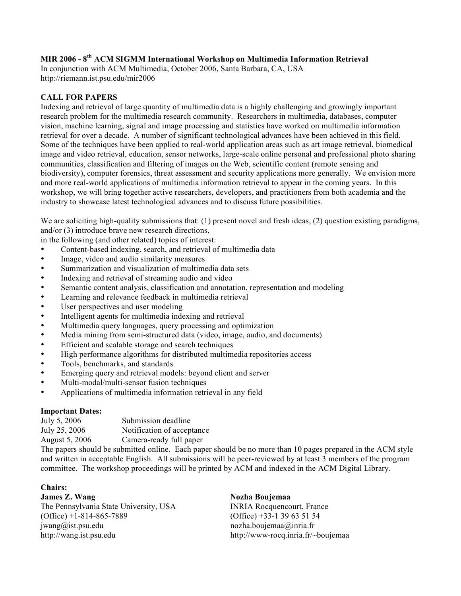### <span id="page-35-0"></span>**MIR 2006 - 8th ACM SIGMM International Workshop on Multimedia Information Retrieval**

In conjunction with ACM Multimedia, October 2006, Santa Barbara, CA, USA http://riemann.ist.psu.edu/mir2006

#### **CALL FOR PAPERS**

Indexing and retrieval of large quantity of multimedia data is a highly challenging and growingly important research problem for the multimedia research community. Researchers in multimedia, databases, computer vision, machine learning, signal and image processing and statistics have worked on multimedia information retrieval for over a decade. A number of significant technological advances have been achieved in this field. Some of the techniques have been applied to real-world application areas such as art image retrieval, biomedical image and video retrieval, education, sensor networks, large-scale online personal and professional photo sharing communities, classification and filtering of images on the Web, scientific content (remote sensing and biodiversity), computer forensics, threat assessment and security applications more generally. We envision more and more real-world applications of multimedia information retrieval to appear in the coming years. In this workshop, we will bring together active researchers, developers, and practitioners from both academia and the industry to showcase latest technological advances and to discuss future possibilities.

We are soliciting high-quality submissions that: (1) present novel and fresh ideas, (2) question existing paradigms, and/or (3) introduce brave new research directions,

in the following (and other related) topics of interest:

- Content-based indexing, search, and retrieval of multimedia data
- Image, video and audio similarity measures
- Summarization and visualization of multimedia data sets
- Indexing and retrieval of streaming audio and video
- Semantic content analysis, classification and annotation, representation and modeling
- Learning and relevance feedback in multimedia retrieval
- User perspectives and user modeling
- Intelligent agents for multimedia indexing and retrieval
- Multimedia query languages, query processing and optimization
- Media mining from semi-structured data (video, image, audio, and documents)
- Efficient and scalable storage and search techniques
- High performance algorithms for distributed multimedia repositories access
- Tools, benchmarks, and standards
- Emerging query and retrieval models: beyond client and server
- Multi-modal/multi-sensor fusion techniques
- Applications of multimedia information retrieval in any field

#### **Important Dates:**

July 5, 2006 Submission deadline July 25, 2006 Notification of acceptance

August 5, 2006 Camera-ready full paper

The papers should be submitted online. Each paper should be no more than 10 pages prepared in the ACM style and written in acceptable English. All submissions will be peer-reviewed by at least 3 members of the program committee. The workshop proceedings will be printed by ACM and indexed in the ACM Digital Library.

#### **Chairs:**

**James Z. Wang Nozha Boujemaa** The Pennsylvania State University, USA INRIA Rocquencourt, France (Office) +1-814-865-7889 (Office) +33-1 39 63 51 54 jwang@ist.psu.edu nozha.boujemaa@inria.fr http://wang.ist.psu.edu http://www-rocq.inria.fr/~boujemaa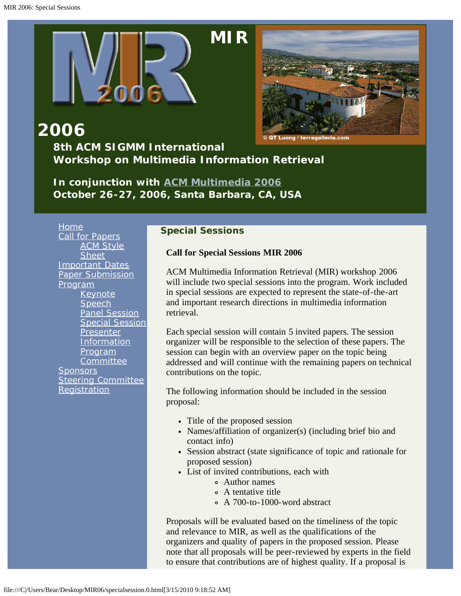<span id="page-36-0"></span>

### **2006 8th ACM SIGMM International Workshop on Multimedia Information Retrieval**

*In conjunction with [ACM Multimedia 2006](javascript:if(confirm() October 26-27, 2006, Santa Barbara, CA, USA*

[Home](#page-2-0) [Call for Papers](#page-10-0) **[ACM Style](javascript:if(confirm() [Sheet](javascript:if(confirm()** [Important Dates](#page-13-0) [Paper Submission](#page-14-0) [Program](#page-4-0) [Keynote](#page-15-0) **[Speech](#page-15-0)** [Panel Session](#page-18-0) [Special Session](#page-19-0) [Presenter](#page-23-0) **[Information](#page-23-0)** [Program](#page-24-0) **[Committee](#page-24-0) [Sponsors](#page-27-0)** [Steering Committee](#page-28-0) **[Registration](#page-29-0)** 

#### **Special Sessions**

**Call for Special Sessions MIR 2006**

ACM Multimedia Information Retrieval (MIR) workshop 2006 will include two special sessions into the program. Work included in special sessions are expected to represent the state-of-the-art and important research directions in multimedia information retrieval.

Each special session will contain 5 invited papers. The session organizer will be responsible to the selection of these papers. The session can begin with an overview paper on the topic being addressed and will continue with the remaining papers on technical contributions on the topic.

The following information should be included in the session proposal:

- Title of the proposed session
- Names/affiliation of organizer(s) (including brief bio and contact info)
- Session abstract (state significance of topic and rationale for proposed session)
- List of invited contributions, each with
	- Author names
	- A tentative title
	- A 700-to-1000-word abstract

Proposals will be evaluated based on the timeliness of the topic and relevance to MIR, as well as the qualifications of the organizers and quality of papers in the proposed session. Please note that all proposals will be peer-reviewed by experts in the field to ensure that contributions are of highest quality. If a proposal is